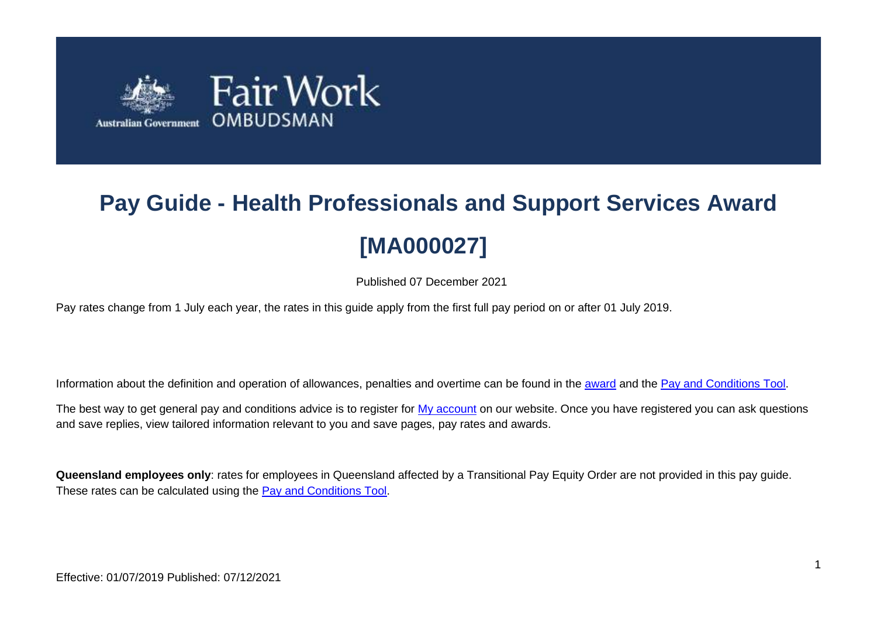

# **Pay Guide - Health Professionals and Support Services Award [MA000027]**

Published 07 December 2021

Pay rates change from 1 July each year, the rates in this guide apply from the first full pay period on or after 01 July 2019.

Information about the definition and operation of allowances, penalties and overtime can be found in the [award](https://www.fairwork.gov.au/awards-and-agreements/awards/list-of-awards) and the [Pay and Conditions Tool.](https://calculate.fairwork.gov.au/)

The best way to get general pay and conditions advice is to register for [My account](https://www.fairwork.gov.au/my-account/registerpage.aspx) on our website. Once you have registered you can ask questions and save replies, view tailored information relevant to you and save pages, pay rates and awards.

**Queensland employees only**: rates for employees in Queensland affected by a Transitional Pay Equity Order are not provided in this pay guide. These rates can be calculated using the [Pay and Conditions Tool.](https://calculate.fairwork.gov.au/)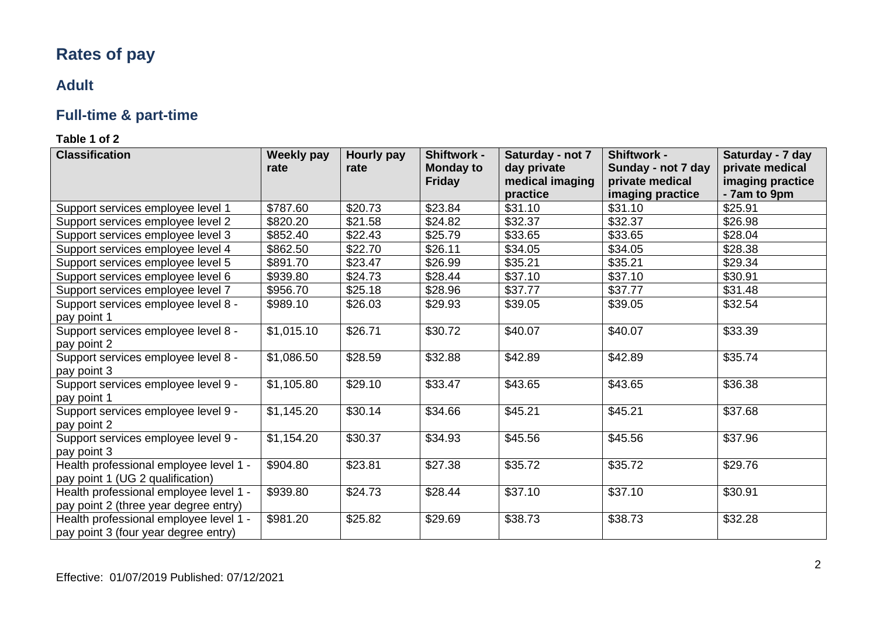# **Rates of pay**

# **Adult**

# **Full-time & part-time**

| <b>Classification</b>                  | <b>Weekly pay</b> | Hourly pay | <b>Shiftwork -</b> | Saturday - not 7    | <b>Shiftwork -</b>          | Saturday - 7 day        |
|----------------------------------------|-------------------|------------|--------------------|---------------------|-----------------------------|-------------------------|
|                                        | rate              | rate       | <b>Monday to</b>   | day private         | Sunday - not 7 day          | private medical         |
|                                        |                   |            | <b>Friday</b>      | medical imaging     | private medical             | imaging practice        |
|                                        | \$787.60          | \$20.73    | \$23.84            | practice<br>\$31.10 | imaging practice<br>\$31.10 | - 7am to 9pm<br>\$25.91 |
| Support services employee level 1      |                   |            |                    |                     |                             |                         |
| Support services employee level 2      | \$820.20          | \$21.58    | \$24.82            | \$32.37             | \$32.37                     | \$26.98                 |
| Support services employee level 3      | \$852.40          | \$22.43    | \$25.79            | \$33.65             | \$33.65                     | \$28.04                 |
| Support services employee level 4      | \$862.50          | \$22.70    | \$26.11            | \$34.05             | \$34.05                     | \$28.38                 |
| Support services employee level 5      | \$891.70          | \$23.47    | \$26.99            | \$35.21             | \$35.21                     | \$29.34                 |
| Support services employee level 6      | \$939.80          | \$24.73    | \$28.44            | \$37.10             | \$37.10                     | \$30.91                 |
| Support services employee level 7      | \$956.70          | \$25.18    | \$28.96            | \$37.77             | \$37.77                     | \$31.48                 |
| Support services employee level 8 -    | \$989.10          | \$26.03    | \$29.93            | \$39.05             | \$39.05                     | \$32.54                 |
| pay point 1                            |                   |            |                    |                     |                             |                         |
| Support services employee level 8 -    | \$1,015.10        | \$26.71    | \$30.72            | \$40.07             | \$40.07                     | \$33.39                 |
| pay point 2                            |                   |            |                    |                     |                             |                         |
| Support services employee level 8 -    | \$1,086.50        | \$28.59    | \$32.88            | \$42.89             | \$42.89                     | \$35.74                 |
| pay point 3                            |                   |            |                    |                     |                             |                         |
| Support services employee level 9 -    | \$1,105.80        | \$29.10    | \$33.47            | \$43.65             | \$43.65                     | \$36.38                 |
| pay point 1                            |                   |            |                    |                     |                             |                         |
| Support services employee level 9 -    | \$1,145.20        | \$30.14    | \$34.66            | \$45.21             | \$45.21                     | \$37.68                 |
| pay point 2                            |                   |            |                    |                     |                             |                         |
| Support services employee level 9 -    | \$1,154.20        | \$30.37    | \$34.93            | \$45.56             | \$45.56                     | \$37.96                 |
| pay point 3                            |                   |            |                    |                     |                             |                         |
| Health professional employee level 1 - | \$904.80          | \$23.81    | \$27.38            | \$35.72             | \$35.72                     | \$29.76                 |
| pay point 1 (UG 2 qualification)       |                   |            |                    |                     |                             |                         |
| Health professional employee level 1 - | \$939.80          | \$24.73    | \$28.44            | \$37.10             | \$37.10                     | \$30.91                 |
| pay point 2 (three year degree entry)  |                   |            |                    |                     |                             |                         |
| Health professional employee level 1 - | \$981.20          | \$25.82    | \$29.69            | \$38.73             | \$38.73                     | \$32.28                 |
| pay point 3 (four year degree entry)   |                   |            |                    |                     |                             |                         |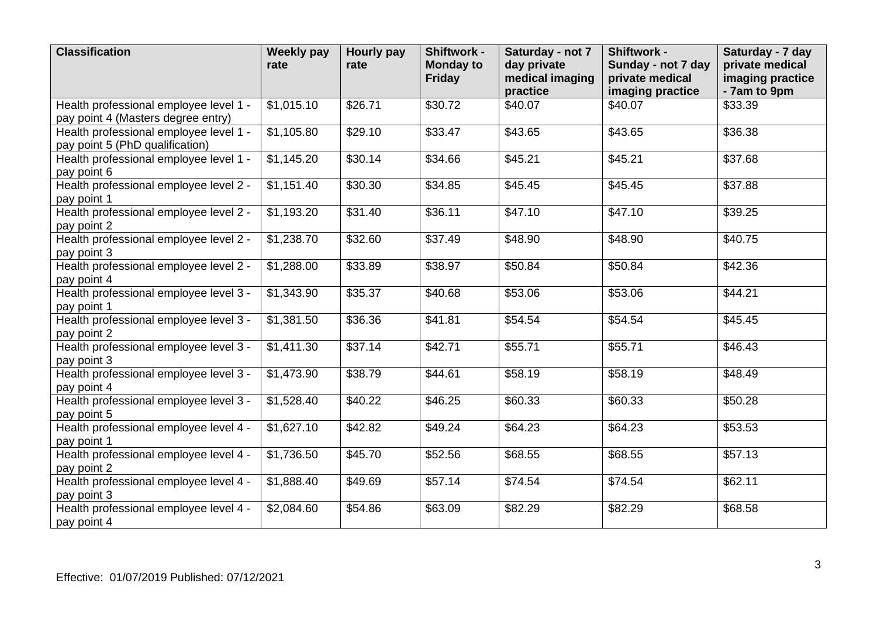| <b>Classification</b>                                                        | <b>Weekly pay</b><br>rate | <b>Hourly pay</b><br>rate | Shiftwork -<br><b>Monday to</b><br><b>Friday</b> | Saturday - not 7<br>day private<br>medical imaging<br>practice | Shiftwork -<br>Sunday - not 7 day<br>private medical<br>imaging practice | Saturday - 7 day<br>private medical<br>imaging practice<br>- 7am to 9pm |
|------------------------------------------------------------------------------|---------------------------|---------------------------|--------------------------------------------------|----------------------------------------------------------------|--------------------------------------------------------------------------|-------------------------------------------------------------------------|
| Health professional employee level 1 -<br>pay point 4 (Masters degree entry) | \$1,015.10                | \$26.71                   | \$30.72                                          | \$40.07                                                        | \$40.07                                                                  | \$33.39                                                                 |
| Health professional employee level 1 -<br>pay point 5 (PhD qualification)    | \$1,105.80                | \$29.10                   | \$33.47                                          | \$43.65                                                        | \$43.65                                                                  | \$36.38                                                                 |
| Health professional employee level 1 -<br>pay point 6                        | \$1,145.20                | \$30.14                   | \$34.66                                          | \$45.21                                                        | \$45.21                                                                  | \$37.68                                                                 |
| Health professional employee level 2 -<br>pay point 1                        | \$1,151.40                | \$30.30                   | \$34.85                                          | \$45.45                                                        | \$45.45                                                                  | \$37.88                                                                 |
| Health professional employee level 2 -<br>pay point 2                        | \$1,193.20                | \$31.40                   | \$36.11                                          | \$47.10                                                        | \$47.10                                                                  | \$39.25                                                                 |
| Health professional employee level 2 -<br>pay point 3                        | \$1,238.70                | \$32.60                   | \$37.49                                          | \$48.90                                                        | \$48.90                                                                  | \$40.75                                                                 |
| Health professional employee level 2 -<br>pay point 4                        | \$1,288.00                | \$33.89                   | \$38.97                                          | \$50.84                                                        | \$50.84                                                                  | \$42.36                                                                 |
| Health professional employee level 3 -<br>pay point 1                        | \$1,343.90                | \$35.37                   | \$40.68                                          | \$53.06                                                        | \$53.06                                                                  | \$44.21                                                                 |
| Health professional employee level 3 -<br>pay point 2                        | \$1,381.50                | \$36.36                   | \$41.81                                          | \$54.54                                                        | \$54.54                                                                  | \$45.45                                                                 |
| Health professional employee level 3 -<br>pay point 3                        | \$1,411.30                | \$37.14                   | \$42.71                                          | \$55.71                                                        | \$55.71                                                                  | \$46.43                                                                 |
| Health professional employee level 3 -<br>pay point 4                        | \$1,473.90                | \$38.79                   | \$44.61                                          | \$58.19                                                        | \$58.19                                                                  | \$48.49                                                                 |
| Health professional employee level 3 -<br>pay point 5                        | \$1,528.40                | \$40.22                   | \$46.25                                          | \$60.33                                                        | \$60.33                                                                  | \$50.28                                                                 |
| Health professional employee level 4 -<br>pay point 1                        | \$1,627.10                | \$42.82                   | \$49.24                                          | \$64.23                                                        | \$64.23                                                                  | \$53.53                                                                 |
| Health professional employee level 4 -<br>pay point 2                        | \$1,736.50                | \$45.70                   | \$52.56                                          | \$68.55                                                        | \$68.55                                                                  | \$57.13                                                                 |
| Health professional employee level 4 -<br>pay point 3                        | \$1,888.40                | \$49.69                   | \$57.14                                          | \$74.54                                                        | \$74.54                                                                  | \$62.11                                                                 |
| Health professional employee level 4 -<br>pay point 4                        | \$2,084.60                | \$54.86                   | \$63.09                                          | \$82.29                                                        | \$82.29                                                                  | \$68.58                                                                 |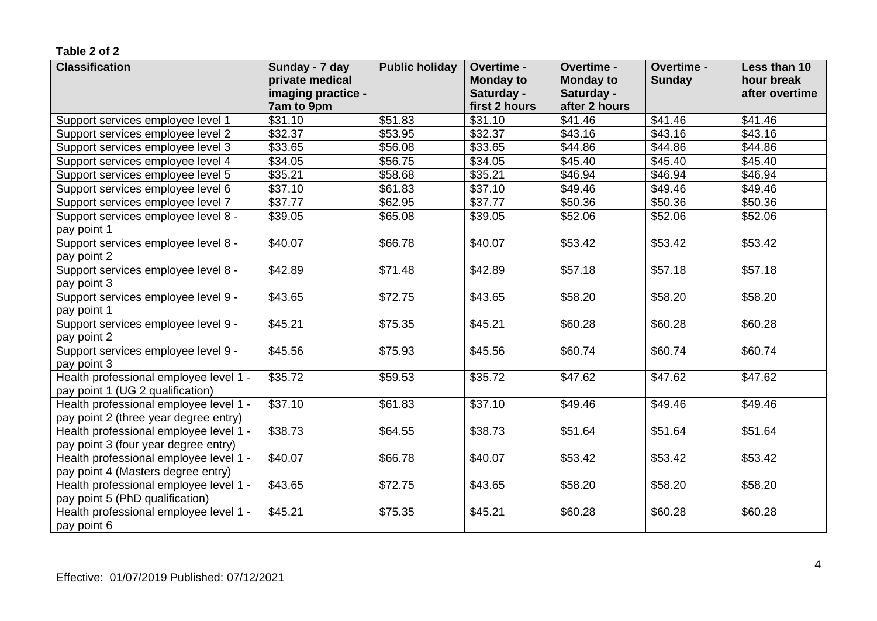| <b>Classification</b>                  | Sunday - 7 day      | <b>Public holiday</b> | Overtime -       | Overtime -       | Overtime -    | Less than 10   |
|----------------------------------------|---------------------|-----------------------|------------------|------------------|---------------|----------------|
|                                        | private medical     |                       | <b>Monday to</b> | <b>Monday to</b> | <b>Sunday</b> | hour break     |
|                                        | imaging practice -  |                       | Saturday -       | Saturday -       |               | after overtime |
|                                        | 7am to 9pm          |                       | first 2 hours    | after 2 hours    |               |                |
| Support services employee level 1      | \$31.10             | \$51.83               | \$31.10          | \$41.46          | \$41.46       | \$41.46        |
| Support services employee level 2      | \$32.37             | \$53.95               | \$32.37          | \$43.16          | \$43.16       | \$43.16        |
| Support services employee level 3      | \$33.65             | \$56.08               | \$33.65          | \$44.86          | \$44.86       | \$44.86        |
| Support services employee level 4      | \$34.05             | \$56.75               | \$34.05          | \$45.40          | \$45.40       | \$45.40        |
| Support services employee level 5      | \$35.21             | \$58.68               | \$35.21          | \$46.94          | \$46.94       | \$46.94        |
| Support services employee level 6      | $\overline{$}37.10$ | \$61.83               | \$37.10          | \$49.46          | \$49.46       | \$49.46        |
| Support services employee level 7      | \$37.77             | \$62.95               | \$37.77          | \$50.36          | \$50.36       | \$50.36        |
| Support services employee level 8 -    | \$39.05             | \$65.08               | \$39.05          | \$52.06          | \$52.06       | \$52.06        |
| pay point 1                            |                     |                       |                  |                  |               |                |
| Support services employee level 8 -    | \$40.07             | \$66.78               | \$40.07          | \$53.42          | \$53.42       | \$53.42        |
| pay point 2                            |                     |                       |                  |                  |               |                |
| Support services employee level 8 -    | \$42.89             | \$71.48               | \$42.89          | \$57.18          | \$57.18       | \$57.18        |
| pay point 3                            |                     |                       |                  |                  |               |                |
| Support services employee level 9 -    | \$43.65             | \$72.75               | \$43.65          | \$58.20          | \$58.20       | \$58.20        |
| pay point 1                            |                     |                       |                  |                  |               |                |
| Support services employee level 9 -    | \$45.21             | \$75.35               | \$45.21          | \$60.28          | \$60.28       | \$60.28        |
| pay point 2                            |                     |                       |                  |                  |               |                |
| Support services employee level 9 -    | \$45.56             | \$75.93               | \$45.56          | \$60.74          | \$60.74       | \$60.74        |
| pay point 3                            |                     |                       |                  |                  |               |                |
| Health professional employee level 1 - | \$35.72             | \$59.53               | \$35.72          | \$47.62          | \$47.62       | \$47.62        |
| pay point 1 (UG 2 qualification)       |                     |                       |                  |                  |               |                |
| Health professional employee level 1 - | \$37.10             | \$61.83               | \$37.10          | \$49.46          | \$49.46       | \$49.46        |
| pay point 2 (three year degree entry)  |                     |                       |                  |                  |               |                |
| Health professional employee level 1 - | \$38.73             | \$64.55               | \$38.73          | \$51.64          | \$51.64       | \$51.64        |
| pay point 3 (four year degree entry)   |                     |                       |                  |                  |               |                |
| Health professional employee level 1 - | \$40.07             | \$66.78               | \$40.07          | \$53.42          | \$53.42       | \$53.42        |
| pay point 4 (Masters degree entry)     |                     |                       |                  |                  |               |                |
| Health professional employee level 1 - | \$43.65             | \$72.75               | \$43.65          | \$58.20          | \$58.20       | \$58.20        |
| pay point 5 (PhD qualification)        |                     |                       |                  |                  |               |                |
| Health professional employee level 1 - | \$45.21             | \$75.35               | \$45.21          | \$60.28          | \$60.28       | \$60.28        |
| pay point 6                            |                     |                       |                  |                  |               |                |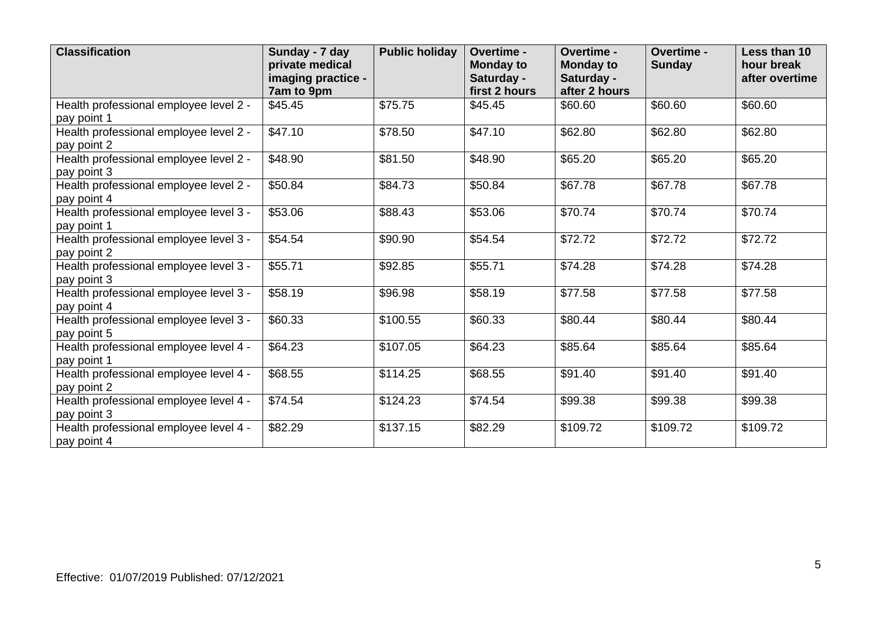| <b>Classification</b>                                 | Sunday - 7 day<br>private medical<br>imaging practice -<br>7am to 9pm | <b>Public holiday</b> | Overtime -<br><b>Monday to</b><br>Saturday -<br>first 2 hours | Overtime -<br><b>Monday to</b><br>Saturday -<br>after 2 hours | Overtime -<br><b>Sunday</b> | Less than 10<br>hour break<br>after overtime |
|-------------------------------------------------------|-----------------------------------------------------------------------|-----------------------|---------------------------------------------------------------|---------------------------------------------------------------|-----------------------------|----------------------------------------------|
| Health professional employee level 2 -<br>pay point 1 | \$45.45                                                               | \$75.75               | \$45.45                                                       | \$60.60                                                       | \$60.60                     | \$60.60                                      |
| Health professional employee level 2 -<br>pay point 2 | \$47.10                                                               | \$78.50               | \$47.10                                                       | \$62.80                                                       | \$62.80                     | \$62.80                                      |
| Health professional employee level 2 -<br>pay point 3 | \$48.90                                                               | \$81.50               | \$48.90                                                       | \$65.20                                                       | \$65.20                     | \$65.20                                      |
| Health professional employee level 2 -<br>pay point 4 | \$50.84                                                               | \$84.73               | \$50.84                                                       | \$67.78                                                       | \$67.78                     | \$67.78                                      |
| Health professional employee level 3 -<br>pay point 1 | \$53.06                                                               | \$88.43               | \$53.06                                                       | \$70.74                                                       | \$70.74                     | \$70.74                                      |
| Health professional employee level 3 -<br>pay point 2 | \$54.54                                                               | \$90.90               | \$54.54                                                       | \$72.72                                                       | \$72.72                     | \$72.72                                      |
| Health professional employee level 3 -<br>pay point 3 | \$55.71                                                               | \$92.85               | \$55.71                                                       | \$74.28                                                       | \$74.28                     | \$74.28                                      |
| Health professional employee level 3 -<br>pay point 4 | \$58.19                                                               | \$96.98               | \$58.19                                                       | \$77.58                                                       | \$77.58                     | \$77.58                                      |
| Health professional employee level 3 -<br>pay point 5 | \$60.33                                                               | \$100.55              | \$60.33                                                       | \$80.44                                                       | \$80.44                     | \$80.44                                      |
| Health professional employee level 4 -<br>pay point 1 | \$64.23                                                               | \$107.05              | \$64.23                                                       | \$85.64                                                       | \$85.64                     | \$85.64                                      |
| Health professional employee level 4 -<br>pay point 2 | \$68.55                                                               | \$114.25              | \$68.55                                                       | \$91.40                                                       | \$91.40                     | \$91.40                                      |
| Health professional employee level 4 -<br>pay point 3 | \$74.54                                                               | \$124.23              | \$74.54                                                       | \$99.38                                                       | \$99.38                     | \$99.38                                      |
| Health professional employee level 4 -<br>pay point 4 | \$82.29                                                               | \$137.15              | \$82.29                                                       | \$109.72                                                      | \$109.72                    | \$109.72                                     |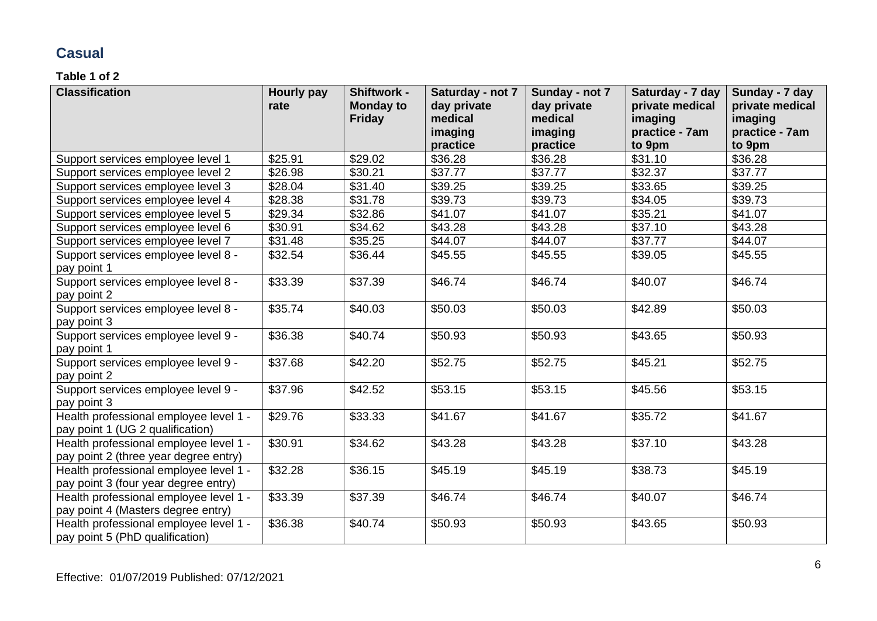# **Casual**

| <b>Classification</b>                                                           | <b>Hourly pay</b><br>rate | Shiftwork -<br><b>Monday to</b> | Saturday - not 7<br>day private | Sunday - not 7<br>day private | Saturday - 7 day<br>private medical | Sunday - 7 day<br>private medical |
|---------------------------------------------------------------------------------|---------------------------|---------------------------------|---------------------------------|-------------------------------|-------------------------------------|-----------------------------------|
|                                                                                 |                           | <b>Friday</b>                   | medical                         | medical                       | imaging                             | imaging                           |
|                                                                                 |                           |                                 | imaging                         | imaging                       | practice - 7am                      | practice - 7am                    |
|                                                                                 |                           |                                 | practice                        | practice                      | to 9pm                              | to 9pm                            |
| Support services employee level 1                                               | \$25.91                   | \$29.02                         | \$36.28                         | \$36.28                       | \$31.10                             | \$36.28                           |
| Support services employee level 2                                               | \$26.98                   | \$30.21                         | \$37.77                         | \$37.77                       | \$32.37                             | \$37.77                           |
| Support services employee level 3                                               | \$28.04                   | \$31.40                         | \$39.25                         | \$39.25                       | \$33.65                             | \$39.25                           |
| Support services employee level 4                                               | \$28.38                   | \$31.78                         | \$39.73                         | \$39.73                       | \$34.05                             | \$39.73                           |
| Support services employee level 5                                               | \$29.34                   | \$32.86                         | \$41.07                         | \$41.07                       | \$35.21                             | \$41.07                           |
| Support services employee level 6                                               | \$30.91                   | \$34.62                         | \$43.28                         | \$43.28                       | \$37.10                             | \$43.28                           |
| Support services employee level 7                                               | \$31.48                   | \$35.25                         | \$44.07                         | \$44.07                       | \$37.77                             | \$44.07                           |
| Support services employee level 8 -                                             | \$32.54                   | \$36.44                         | \$45.55                         | \$45.55                       | \$39.05                             | \$45.55                           |
| pay point 1                                                                     |                           |                                 |                                 |                               |                                     |                                   |
| Support services employee level 8 -                                             | \$33.39                   | \$37.39                         | \$46.74                         | \$46.74                       | \$40.07                             | \$46.74                           |
| pay point 2                                                                     |                           |                                 |                                 |                               |                                     |                                   |
| Support services employee level 8 -                                             | \$35.74                   | \$40.03                         | \$50.03                         | \$50.03                       | \$42.89                             | \$50.03                           |
| pay point 3                                                                     |                           |                                 |                                 |                               |                                     |                                   |
| Support services employee level 9 -                                             | \$36.38                   | \$40.74                         | \$50.93                         | \$50.93                       | \$43.65                             | \$50.93                           |
| pay point 1                                                                     |                           |                                 |                                 |                               |                                     |                                   |
| Support services employee level 9 -                                             | \$37.68                   | \$42.20                         | \$52.75                         | \$52.75                       | \$45.21                             | \$52.75                           |
| pay point 2                                                                     |                           |                                 |                                 |                               |                                     |                                   |
| Support services employee level 9 -                                             | \$37.96                   | \$42.52                         | \$53.15                         | \$53.15                       | \$45.56                             | \$53.15                           |
| pay point 3                                                                     |                           |                                 |                                 |                               |                                     |                                   |
| Health professional employee level 1 -                                          | \$29.76                   | \$33.33                         | \$41.67                         | \$41.67                       | \$35.72                             | \$41.67                           |
| pay point 1 (UG 2 qualification)                                                |                           |                                 |                                 |                               |                                     |                                   |
| Health professional employee level 1 -                                          | \$30.91                   | \$34.62                         | \$43.28                         | \$43.28                       | \$37.10                             | \$43.28                           |
| pay point 2 (three year degree entry)<br>Health professional employee level 1 - | \$32.28                   | \$36.15                         | \$45.19                         | \$45.19                       | \$38.73                             | \$45.19                           |
|                                                                                 |                           |                                 |                                 |                               |                                     |                                   |
| pay point 3 (four year degree entry)                                            | \$33.39                   | \$37.39                         | \$46.74                         | \$46.74                       | \$40.07                             | \$46.74                           |
| Health professional employee level 1 -                                          |                           |                                 |                                 |                               |                                     |                                   |
| pay point 4 (Masters degree entry)<br>Health professional employee level 1 -    | \$36.38                   | \$40.74                         | \$50.93                         | \$50.93                       | \$43.65                             | \$50.93                           |
| pay point 5 (PhD qualification)                                                 |                           |                                 |                                 |                               |                                     |                                   |
|                                                                                 |                           |                                 |                                 |                               |                                     |                                   |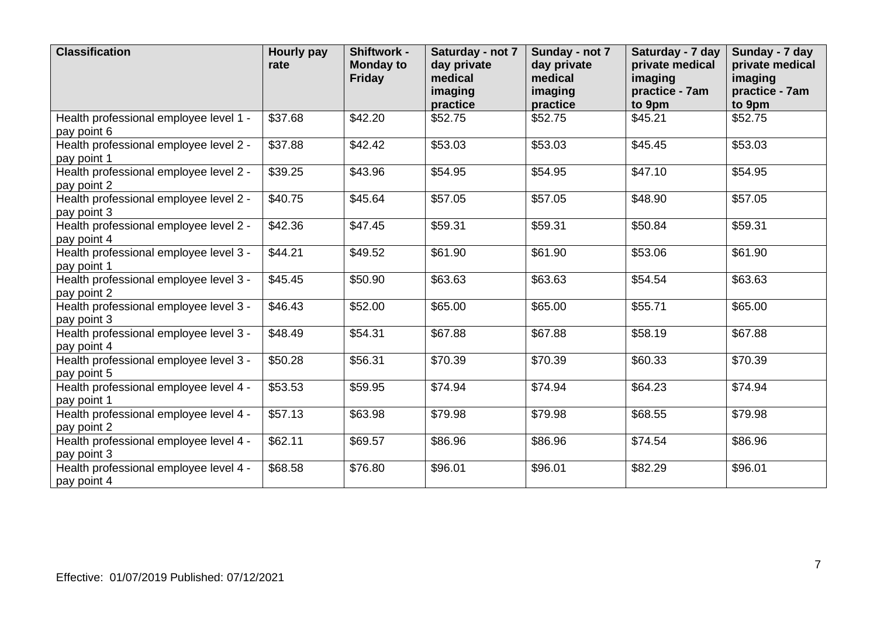| <b>Classification</b>                                 | <b>Hourly pay</b><br>rate | Shiftwork -<br><b>Monday to</b><br>Friday | Saturday - not 7<br>day private<br>medical<br>imaging<br>practice | Sunday - not 7<br>day private<br>medical<br>imaging<br>practice | Saturday - 7 day<br>private medical<br>imaging<br>practice - 7am<br>to 9pm | Sunday - 7 day<br>private medical<br>imaging<br>practice - 7am<br>to 9pm |
|-------------------------------------------------------|---------------------------|-------------------------------------------|-------------------------------------------------------------------|-----------------------------------------------------------------|----------------------------------------------------------------------------|--------------------------------------------------------------------------|
| Health professional employee level 1 -<br>pay point 6 | \$37.68                   | \$42.20                                   | \$52.75                                                           | \$52.75                                                         | \$45.21                                                                    | \$52.75                                                                  |
| Health professional employee level 2 -<br>pay point 1 | \$37.88                   | \$42.42                                   | \$53.03                                                           | \$53.03                                                         | \$45.45                                                                    | \$53.03                                                                  |
| Health professional employee level 2 -<br>pay point 2 | \$39.25                   | \$43.96                                   | \$54.95                                                           | \$54.95                                                         | \$47.10                                                                    | \$54.95                                                                  |
| Health professional employee level 2 -<br>pay point 3 | \$40.75                   | \$45.64                                   | \$57.05                                                           | \$57.05                                                         | \$48.90                                                                    | \$57.05                                                                  |
| Health professional employee level 2 -<br>pay point 4 | \$42.36                   | \$47.45                                   | \$59.31                                                           | \$59.31                                                         | \$50.84                                                                    | \$59.31                                                                  |
| Health professional employee level 3 -<br>pay point 1 | \$44.21                   | \$49.52                                   | \$61.90                                                           | \$61.90                                                         | \$53.06                                                                    | \$61.90                                                                  |
| Health professional employee level 3 -<br>pay point 2 | \$45.45                   | \$50.90                                   | \$63.63                                                           | \$63.63                                                         | \$54.54                                                                    | \$63.63                                                                  |
| Health professional employee level 3 -<br>pay point 3 | \$46.43                   | \$52.00                                   | \$65.00                                                           | \$65.00                                                         | \$55.71                                                                    | \$65.00                                                                  |
| Health professional employee level 3 -<br>pay point 4 | \$48.49                   | \$54.31                                   | \$67.88                                                           | \$67.88                                                         | \$58.19                                                                    | \$67.88                                                                  |
| Health professional employee level 3 -<br>pay point 5 | \$50.28                   | \$56.31                                   | \$70.39                                                           | \$70.39                                                         | \$60.33                                                                    | \$70.39                                                                  |
| Health professional employee level 4 -<br>pay point 1 | \$53.53                   | \$59.95                                   | \$74.94                                                           | \$74.94                                                         | \$64.23                                                                    | \$74.94                                                                  |
| Health professional employee level 4 -<br>pay point 2 | \$57.13                   | \$63.98                                   | \$79.98                                                           | \$79.98                                                         | \$68.55                                                                    | \$79.98                                                                  |
| Health professional employee level 4 -<br>pay point 3 | \$62.11                   | \$69.57                                   | \$86.96                                                           | \$86.96                                                         | \$74.54                                                                    | \$86.96                                                                  |
| Health professional employee level 4 -<br>pay point 4 | \$68.58                   | \$76.80                                   | \$96.01                                                           | \$96.01                                                         | \$82.29                                                                    | \$96.01                                                                  |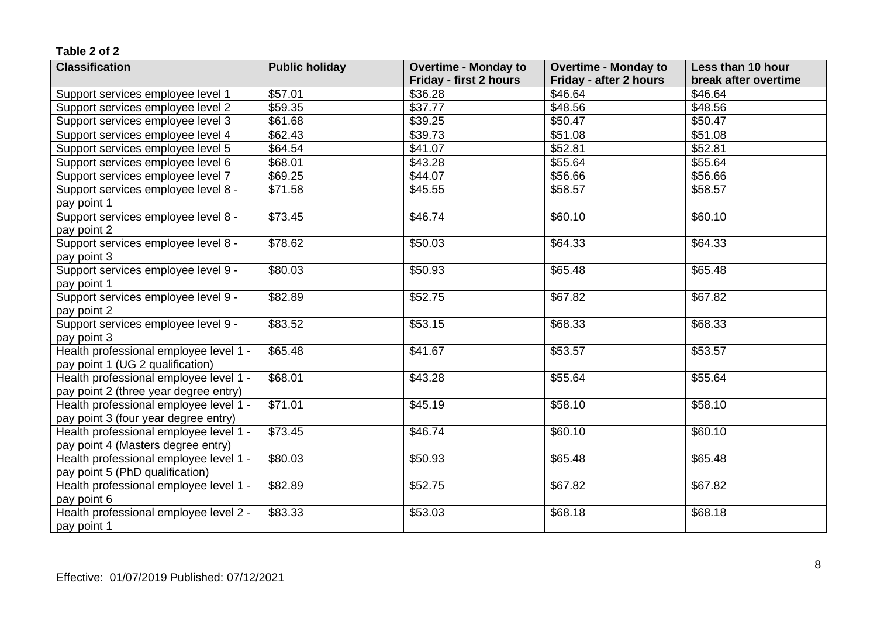| <b>Classification</b>                                                           | <b>Public holiday</b> | <b>Overtime - Monday to</b>   | <b>Overtime - Monday to</b> | Less than 10 hour    |
|---------------------------------------------------------------------------------|-----------------------|-------------------------------|-----------------------------|----------------------|
|                                                                                 |                       | <b>Friday - first 2 hours</b> | Friday - after 2 hours      | break after overtime |
| Support services employee level 1                                               | \$57.01               | \$36.28                       | \$46.64                     | \$46.64              |
| Support services employee level 2                                               | \$59.35               | \$37.77                       | \$48.56                     | \$48.56              |
| Support services employee level 3                                               | \$61.68               | \$39.25                       | \$50.47                     | \$50.47              |
| Support services employee level 4                                               | \$62.43               | \$39.73                       | \$51.08                     | \$51.08              |
| Support services employee level 5                                               | \$64.54               | \$41.07                       | \$52.81                     | \$52.81              |
| Support services employee level 6                                               | \$68.01               | \$43.28                       | \$55.64                     | \$55.64              |
| Support services employee level 7                                               | \$69.25               | \$44.07                       | \$56.66                     | \$56.66              |
| Support services employee level 8 -<br>pay point 1                              | \$71.58               | \$45.55                       | \$58.57                     | \$58.57              |
| Support services employee level 8 -<br>pay point 2                              | \$73.45               | \$46.74                       | \$60.10                     | \$60.10              |
| Support services employee level 8 -<br>pay point 3                              | \$78.62               | \$50.03                       | \$64.33                     | \$64.33              |
| Support services employee level 9 -<br>pay point 1                              | \$80.03               | \$50.93                       | \$65.48                     | \$65.48              |
| Support services employee level 9 -<br>pay point 2                              | \$82.89               | \$52.75                       | \$67.82                     | \$67.82              |
| Support services employee level 9 -<br>pay point 3                              | \$83.52               | \$53.15                       | \$68.33                     | \$68.33              |
| Health professional employee level 1 -<br>pay point 1 (UG 2 qualification)      | \$65.48               | \$41.67                       | \$53.57                     | \$53.57              |
| Health professional employee level 1 -<br>pay point 2 (three year degree entry) | \$68.01               | \$43.28                       | \$55.64                     | \$55.64              |
| Health professional employee level 1 -<br>pay point 3 (four year degree entry)  | \$71.01               | \$45.19                       | \$58.10                     | \$58.10              |
| Health professional employee level 1 -<br>pay point 4 (Masters degree entry)    | \$73.45               | \$46.74                       | \$60.10                     | \$60.10              |
| Health professional employee level 1 -<br>pay point 5 (PhD qualification)       | \$80.03               | \$50.93                       | \$65.48                     | \$65.48              |
| Health professional employee level 1 -<br>pay point 6                           | \$82.89               | \$52.75                       | \$67.82                     | \$67.82              |
| Health professional employee level 2 -<br>pay point 1                           | \$83.33               | \$53.03                       | \$68.18                     | \$68.18              |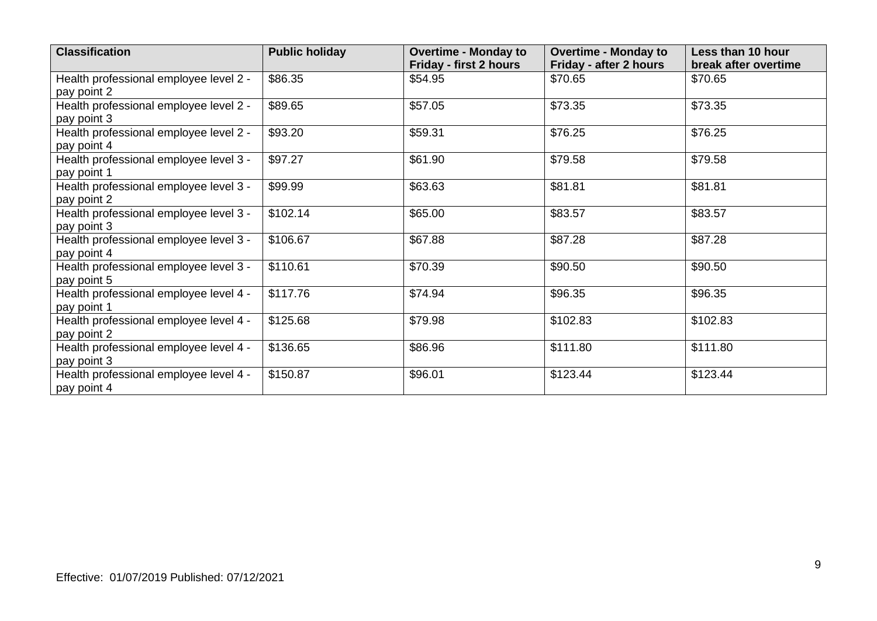| <b>Classification</b>                                 | <b>Public holiday</b> | <b>Overtime - Monday to</b> | <b>Overtime - Monday to</b> | Less than 10 hour    |
|-------------------------------------------------------|-----------------------|-----------------------------|-----------------------------|----------------------|
|                                                       |                       | Friday - first 2 hours      | Friday - after 2 hours      | break after overtime |
| Health professional employee level 2 -<br>pay point 2 | \$86.35               | \$54.95                     | \$70.65                     | \$70.65              |
| Health professional employee level 2 -<br>pay point 3 | \$89.65               | \$57.05                     | \$73.35                     | \$73.35              |
| Health professional employee level 2 -<br>pay point 4 | \$93.20               | \$59.31                     | \$76.25                     | \$76.25              |
| Health professional employee level 3 -<br>pay point 1 | \$97.27               | \$61.90                     | \$79.58                     | \$79.58              |
| Health professional employee level 3 -<br>pay point 2 | \$99.99               | \$63.63                     | \$81.81                     | \$81.81              |
| Health professional employee level 3 -<br>pay point 3 | \$102.14              | \$65.00                     | \$83.57                     | \$83.57              |
| Health professional employee level 3 -<br>pay point 4 | $\overline{$}106.67$  | \$67.88                     | \$87.28                     | \$87.28              |
| Health professional employee level 3 -<br>pay point 5 | \$110.61              | \$70.39                     | \$90.50                     | \$90.50              |
| Health professional employee level 4 -<br>pay point 1 | \$117.76              | \$74.94                     | \$96.35                     | \$96.35              |
| Health professional employee level 4 -<br>pay point 2 | \$125.68              | \$79.98                     | \$102.83                    | \$102.83             |
| Health professional employee level 4 -<br>pay point 3 | \$136.65              | \$86.96                     | \$111.80                    | \$111.80             |
| Health professional employee level 4 -<br>pay point 4 | \$150.87              | \$96.01                     | \$123.44                    | \$123.44             |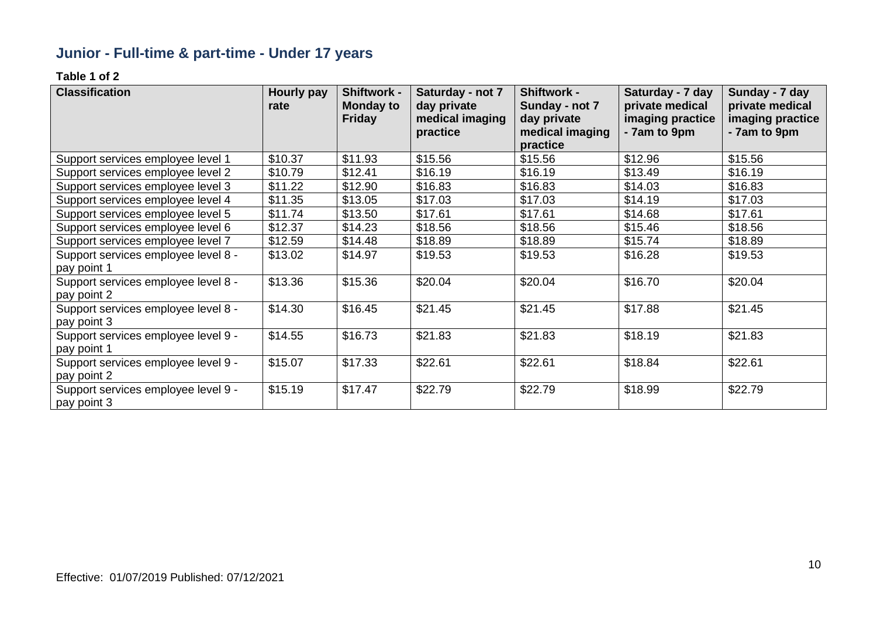# **Junior - Full-time & part-time - Under 17 years**

| <b>Classification</b>               | Hourly pay<br>rate | <b>Shiftwork -</b><br><b>Monday to</b> | Saturday - not 7<br>day private | <b>Shiftwork -</b><br>Sunday - not 7 | Saturday - 7 day<br>private medical | Sunday - 7 day<br>private medical |
|-------------------------------------|--------------------|----------------------------------------|---------------------------------|--------------------------------------|-------------------------------------|-----------------------------------|
|                                     |                    | <b>Friday</b>                          | medical imaging                 | day private                          | imaging practice                    | imaging practice                  |
|                                     |                    |                                        | practice                        | medical imaging                      | - 7am to 9pm                        | - 7am to 9pm                      |
|                                     |                    |                                        |                                 | practice                             |                                     |                                   |
| Support services employee level 1   | \$10.37            | \$11.93                                | \$15.56                         | \$15.56                              | \$12.96                             | \$15.56                           |
| Support services employee level 2   | \$10.79            | \$12.41                                | \$16.19                         | \$16.19                              | \$13.49                             | \$16.19                           |
| Support services employee level 3   | \$11.22            | \$12.90                                | \$16.83                         | \$16.83                              | \$14.03                             | \$16.83                           |
| Support services employee level 4   | \$11.35            | \$13.05                                | \$17.03                         | \$17.03                              | \$14.19                             | \$17.03                           |
| Support services employee level 5   | \$11.74            | \$13.50                                | \$17.61                         | \$17.61                              | \$14.68                             | \$17.61                           |
| Support services employee level 6   | \$12.37            | \$14.23                                | \$18.56                         | \$18.56                              | \$15.46                             | \$18.56                           |
| Support services employee level 7   | \$12.59            | \$14.48                                | \$18.89                         | \$18.89                              | \$15.74                             | \$18.89                           |
| Support services employee level 8 - | \$13.02            | \$14.97                                | \$19.53                         | \$19.53                              | \$16.28                             | \$19.53                           |
| pay point 1                         |                    |                                        |                                 |                                      |                                     |                                   |
| Support services employee level 8 - | \$13.36            | \$15.36                                | \$20.04                         | \$20.04                              | \$16.70                             | \$20.04                           |
| pay point 2                         |                    |                                        |                                 |                                      |                                     |                                   |
| Support services employee level 8 - | \$14.30            | \$16.45                                | \$21.45                         | \$21.45                              | \$17.88                             | \$21.45                           |
| pay point 3                         |                    |                                        |                                 |                                      |                                     |                                   |
| Support services employee level 9 - | \$14.55            | \$16.73                                | \$21.83                         | \$21.83                              | \$18.19                             | \$21.83                           |
| pay point 1                         |                    |                                        |                                 |                                      |                                     |                                   |
| Support services employee level 9 - | \$15.07            | \$17.33                                | \$22.61                         | \$22.61                              | \$18.84                             | \$22.61                           |
| pay point 2                         |                    |                                        |                                 |                                      |                                     |                                   |
| Support services employee level 9 - | \$15.19            | \$17.47                                | \$22.79                         | \$22.79                              | \$18.99                             | \$22.79                           |
| pay point 3                         |                    |                                        |                                 |                                      |                                     |                                   |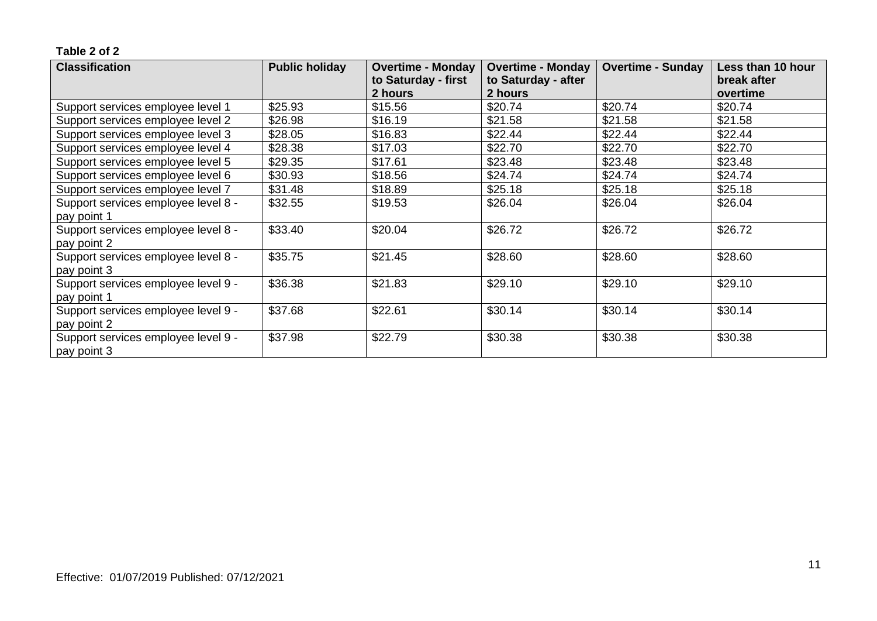| <b>Classification</b>               | <b>Public holiday</b> | <b>Overtime - Monday</b><br><b>Overtime - Monday</b> |                     | <b>Overtime - Sunday</b> | Less than 10 hour |
|-------------------------------------|-----------------------|------------------------------------------------------|---------------------|--------------------------|-------------------|
|                                     |                       | to Saturday - first                                  | to Saturday - after |                          | break after       |
|                                     |                       | 2 hours                                              | 2 hours             |                          | overtime          |
| Support services employee level 1   | \$25.93               | \$15.56                                              | \$20.74             | \$20.74                  | \$20.74           |
| Support services employee level 2   | \$26.98               | \$16.19                                              | \$21.58             | \$21.58                  | \$21.58           |
| Support services employee level 3   | \$28.05               | \$16.83                                              | \$22.44             | \$22.44                  | \$22.44           |
| Support services employee level 4   | \$28.38               | \$17.03                                              | \$22.70             | \$22.70                  | \$22.70           |
| Support services employee level 5   | \$29.35               | \$17.61                                              | \$23.48             | \$23.48                  | \$23.48           |
| Support services employee level 6   | \$30.93               | \$18.56                                              | \$24.74             | \$24.74                  | \$24.74           |
| Support services employee level 7   | \$31.48               | \$18.89                                              | \$25.18             | \$25.18                  | \$25.18           |
| Support services employee level 8 - | \$32.55               | \$19.53                                              | \$26.04             | \$26.04                  | \$26.04           |
| pay point 1                         |                       |                                                      |                     |                          |                   |
| Support services employee level 8 - | \$33.40               | \$20.04                                              | \$26.72             | \$26.72                  | \$26.72           |
| pay point 2                         |                       |                                                      |                     |                          |                   |
| Support services employee level 8 - | \$35.75               | \$21.45                                              | \$28.60             | \$28.60                  | \$28.60           |
| pay point 3                         |                       |                                                      |                     |                          |                   |
| Support services employee level 9 - | \$36.38               | \$21.83                                              | \$29.10             | \$29.10                  | \$29.10           |
| pay point 1                         |                       |                                                      |                     |                          |                   |
| Support services employee level 9 - | \$37.68               | \$22.61                                              | \$30.14             | \$30.14                  | \$30.14           |
| pay point 2                         |                       |                                                      |                     |                          |                   |
| Support services employee level 9 - | \$37.98               | \$22.79                                              | \$30.38             | \$30.38                  | \$30.38           |
| pay point 3                         |                       |                                                      |                     |                          |                   |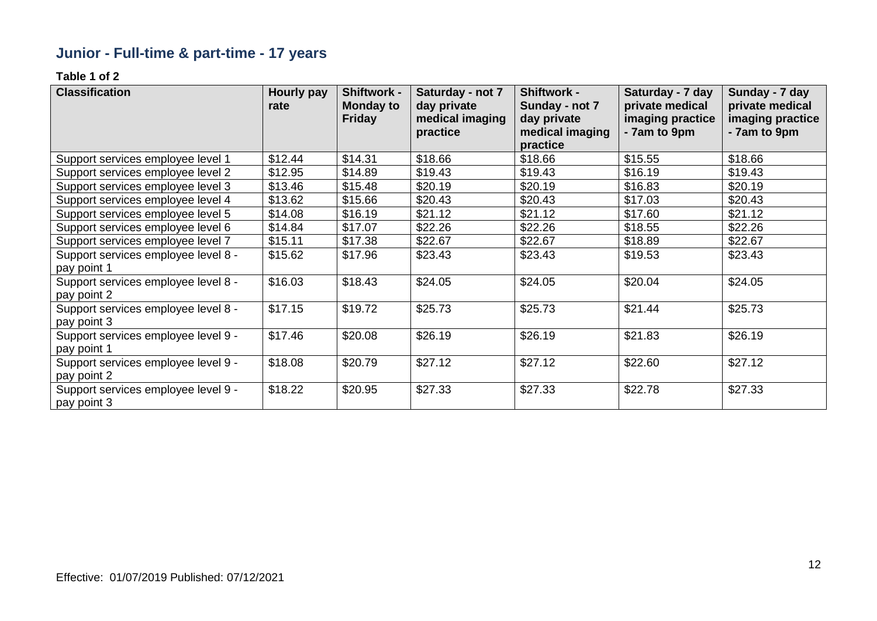# **Junior - Full-time & part-time - 17 years**

| <b>Classification</b>               | Hourly pay<br>rate | Shiftwork -<br><b>Monday to</b> | Saturday - not 7<br>day private | <b>Shiftwork -</b><br>Sunday - not 7 | Saturday - 7 day<br>private medical | Sunday - 7 day<br>private medical |
|-------------------------------------|--------------------|---------------------------------|---------------------------------|--------------------------------------|-------------------------------------|-----------------------------------|
|                                     |                    | <b>Friday</b>                   | medical imaging                 | day private                          | imaging practice                    | imaging practice                  |
|                                     |                    |                                 | practice                        | medical imaging<br>practice          | - 7am to 9pm                        | - 7am to 9pm                      |
| Support services employee level 1   | \$12.44            | \$14.31                         | \$18.66                         | \$18.66                              | \$15.55                             | \$18.66                           |
| Support services employee level 2   | \$12.95            | \$14.89                         | \$19.43                         | \$19.43                              | \$16.19                             | \$19.43                           |
| Support services employee level 3   | \$13.46            | \$15.48                         | \$20.19                         | \$20.19                              | \$16.83                             | \$20.19                           |
| Support services employee level 4   | \$13.62            | \$15.66                         | \$20.43                         | \$20.43                              | \$17.03                             | \$20.43                           |
| Support services employee level 5   | \$14.08            | \$16.19                         | \$21.12                         | \$21.12                              | \$17.60                             | \$21.12                           |
| Support services employee level 6   | \$14.84            | \$17.07                         | \$22.26                         | \$22.26                              | \$18.55                             | \$22.26                           |
| Support services employee level 7   | \$15.11            | \$17.38                         | \$22.67                         | \$22.67                              | \$18.89                             | \$22.67                           |
| Support services employee level 8 - | \$15.62            | \$17.96                         | \$23.43                         | \$23.43                              | \$19.53                             | \$23.43                           |
| pay point 1                         |                    |                                 |                                 |                                      |                                     |                                   |
| Support services employee level 8 - | \$16.03            | \$18.43                         | \$24.05                         | \$24.05                              | \$20.04                             | \$24.05                           |
| pay point 2                         |                    |                                 |                                 |                                      |                                     |                                   |
| Support services employee level 8 - | \$17.15            | \$19.72                         | \$25.73                         | \$25.73                              | \$21.44                             | \$25.73                           |
| pay point 3                         |                    |                                 |                                 |                                      |                                     |                                   |
| Support services employee level 9 - | \$17.46            | \$20.08                         | \$26.19                         | \$26.19                              | \$21.83                             | \$26.19                           |
| pay point 1                         |                    |                                 |                                 |                                      |                                     |                                   |
| Support services employee level 9 - | \$18.08            | \$20.79                         | \$27.12                         | \$27.12                              | \$22.60                             | \$27.12                           |
| pay point 2                         |                    |                                 |                                 |                                      |                                     |                                   |
| Support services employee level 9 - | \$18.22            | \$20.95                         | \$27.33                         | \$27.33                              | \$22.78                             | \$27.33                           |
| pay point 3                         |                    |                                 |                                 |                                      |                                     |                                   |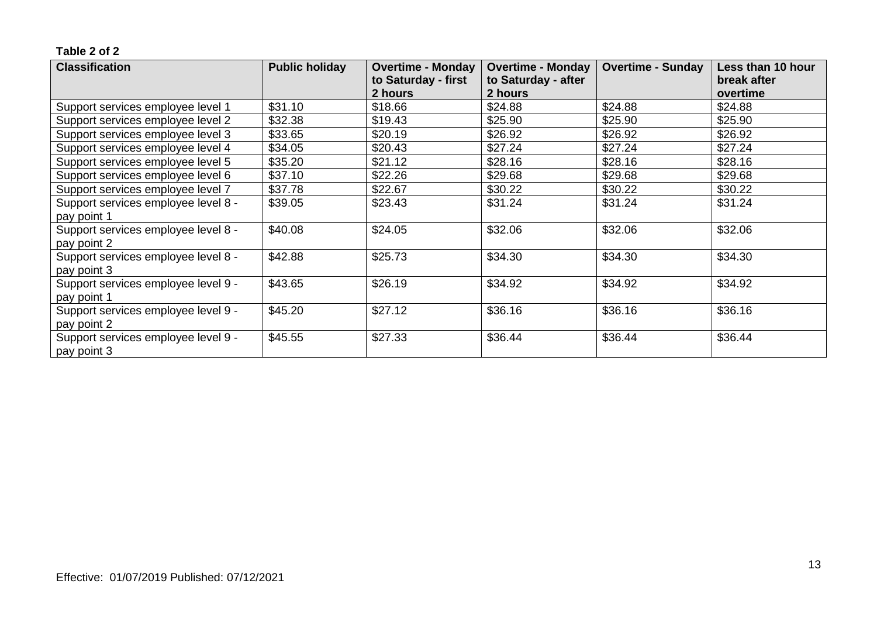| <b>Classification</b>               | <b>Public holiday</b> | <b>Overtime - Monday</b><br><b>Overtime - Monday</b> |                     | <b>Overtime - Sunday</b> | Less than 10 hour |
|-------------------------------------|-----------------------|------------------------------------------------------|---------------------|--------------------------|-------------------|
|                                     |                       | to Saturday - first                                  | to Saturday - after |                          | break after       |
|                                     |                       | 2 hours                                              | 2 hours             |                          | overtime          |
| Support services employee level 1   | \$31.10               | \$18.66                                              | \$24.88             | \$24.88                  | \$24.88           |
| Support services employee level 2   | \$32.38               | \$19.43                                              | \$25.90             | \$25.90                  | \$25.90           |
| Support services employee level 3   | \$33.65               | \$20.19                                              | \$26.92             | \$26.92                  | \$26.92           |
| Support services employee level 4   | \$34.05               | \$20.43                                              | \$27.24             | \$27.24                  | \$27.24           |
| Support services employee level 5   | \$35.20               | \$21.12                                              | \$28.16             | \$28.16                  | \$28.16           |
| Support services employee level 6   | \$37.10               | \$22.26                                              | \$29.68             | \$29.68                  | \$29.68           |
| Support services employee level 7   | \$37.78               | \$22.67                                              | \$30.22             | \$30.22                  | \$30.22           |
| Support services employee level 8 - | \$39.05               | \$23.43                                              | \$31.24             | \$31.24                  | \$31.24           |
| pay point 1                         |                       |                                                      |                     |                          |                   |
| Support services employee level 8 - | \$40.08               | \$24.05                                              | \$32.06             | \$32.06                  | \$32.06           |
| pay point 2                         |                       |                                                      |                     |                          |                   |
| Support services employee level 8 - | \$42.88               | \$25.73                                              | \$34.30             | \$34.30                  | \$34.30           |
| pay point 3                         |                       |                                                      |                     |                          |                   |
| Support services employee level 9 - | \$43.65               | \$26.19                                              | \$34.92             | \$34.92                  | \$34.92           |
| pay point 1                         |                       |                                                      |                     |                          |                   |
| Support services employee level 9 - | \$45.20               | \$27.12                                              | \$36.16             | \$36.16                  | \$36.16           |
| pay point 2                         |                       |                                                      |                     |                          |                   |
| Support services employee level 9 - | \$45.55               | \$27.33                                              | \$36.44             | \$36.44                  | \$36.44           |
| pay point 3                         |                       |                                                      |                     |                          |                   |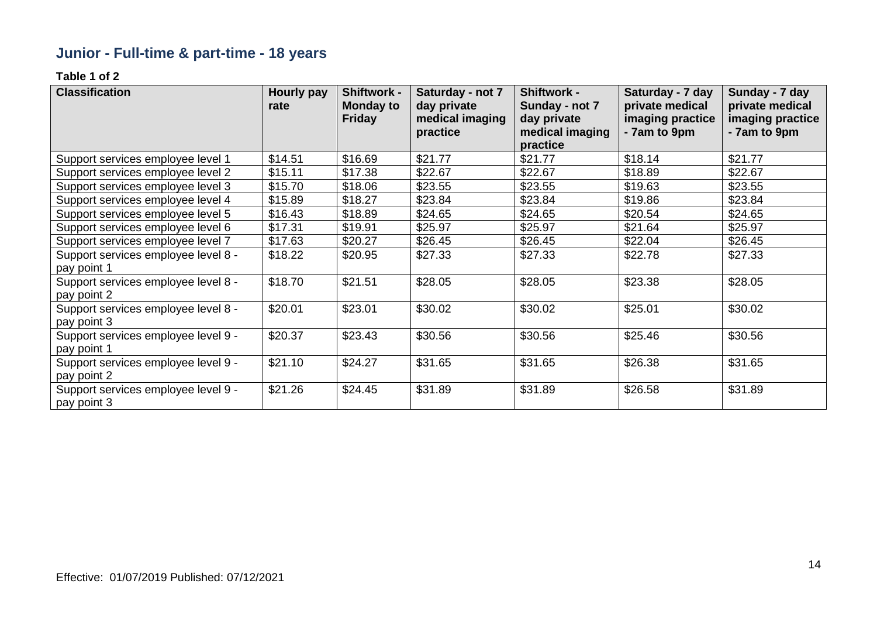# **Junior - Full-time & part-time - 18 years**

| <b>Classification</b>               | Hourly pay<br>rate | Shiftwork -<br><b>Monday to</b> | Saturday - not 7<br>day private | <b>Shiftwork -</b><br>Sunday - not 7 | Saturday - 7 day<br>private medical | Sunday - 7 day<br>private medical |
|-------------------------------------|--------------------|---------------------------------|---------------------------------|--------------------------------------|-------------------------------------|-----------------------------------|
|                                     |                    | <b>Friday</b>                   | medical imaging<br>practice     | day private<br>medical imaging       | imaging practice<br>- 7am to 9pm    | imaging practice<br>- 7am to 9pm  |
|                                     |                    |                                 |                                 | practice                             |                                     |                                   |
| Support services employee level 1   | \$14.51            | \$16.69                         | \$21.77                         | \$21.77                              | \$18.14                             | \$21.77                           |
| Support services employee level 2   | \$15.11            | \$17.38                         | \$22.67                         | \$22.67                              | \$18.89                             | \$22.67                           |
| Support services employee level 3   | \$15.70            | \$18.06                         | \$23.55                         | \$23.55                              | \$19.63                             | \$23.55                           |
| Support services employee level 4   | \$15.89            | \$18.27                         | \$23.84                         | \$23.84                              | \$19.86                             | \$23.84                           |
| Support services employee level 5   | \$16.43            | \$18.89                         | \$24.65                         | \$24.65                              | \$20.54                             | \$24.65                           |
| Support services employee level 6   | \$17.31            | \$19.91                         | \$25.97                         | \$25.97                              | \$21.64                             | \$25.97                           |
| Support services employee level 7   | \$17.63            | \$20.27                         | \$26.45                         | \$26.45                              | \$22.04                             | \$26.45                           |
| Support services employee level 8 - | \$18.22            | \$20.95                         | \$27.33                         | \$27.33                              | \$22.78                             | \$27.33                           |
| pay point 1                         |                    |                                 |                                 |                                      |                                     |                                   |
| Support services employee level 8 - | \$18.70            | \$21.51                         | \$28.05                         | \$28.05                              | \$23.38                             | \$28.05                           |
| pay point 2                         |                    |                                 |                                 |                                      |                                     |                                   |
| Support services employee level 8 - | \$20.01            | \$23.01                         | \$30.02                         | \$30.02                              | \$25.01                             | \$30.02                           |
| pay point 3                         |                    |                                 |                                 |                                      |                                     |                                   |
| Support services employee level 9 - | \$20.37            | \$23.43                         | \$30.56                         | \$30.56                              | \$25.46                             | \$30.56                           |
| pay point 1                         |                    |                                 |                                 |                                      |                                     |                                   |
| Support services employee level 9 - | \$21.10            | \$24.27                         | \$31.65                         | \$31.65                              | \$26.38                             | \$31.65                           |
| pay point 2                         |                    |                                 |                                 |                                      |                                     |                                   |
| Support services employee level 9 - | \$21.26            | \$24.45                         | \$31.89                         | \$31.89                              | \$26.58                             | \$31.89                           |
| pay point 3                         |                    |                                 |                                 |                                      |                                     |                                   |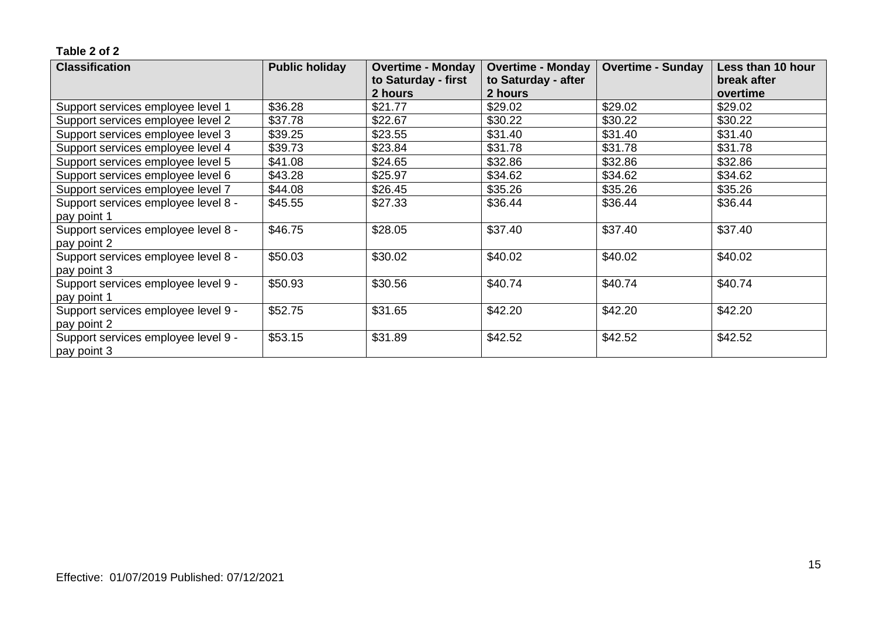| <b>Classification</b>               | <b>Public holiday</b> | <b>Overtime - Monday</b> | <b>Overtime - Monday</b> | <b>Overtime - Sunday</b> | Less than 10 hour |
|-------------------------------------|-----------------------|--------------------------|--------------------------|--------------------------|-------------------|
|                                     |                       | to Saturday - first      | to Saturday - after      |                          | break after       |
|                                     |                       | 2 hours                  | 2 hours                  |                          | overtime          |
| Support services employee level 1   | \$36.28               | \$21.77                  | \$29.02                  | \$29.02                  | \$29.02           |
| Support services employee level 2   | \$37.78               | \$22.67                  | \$30.22                  | \$30.22                  | \$30.22           |
| Support services employee level 3   | \$39.25               | \$23.55                  | \$31.40                  | \$31.40                  | \$31.40           |
| Support services employee level 4   | \$39.73               | \$23.84                  | \$31.78                  | \$31.78                  | \$31.78           |
| Support services employee level 5   | \$41.08               | \$24.65                  | \$32.86                  | \$32.86                  | \$32.86           |
| Support services employee level 6   | \$43.28               | \$25.97                  | \$34.62                  | \$34.62                  | \$34.62           |
| Support services employee level 7   | \$44.08               | \$26.45                  | \$35.26                  | \$35.26                  | \$35.26           |
| Support services employee level 8 - | \$45.55               | \$27.33                  | \$36.44                  | \$36.44                  | \$36.44           |
| pay point 1                         |                       |                          |                          |                          |                   |
| Support services employee level 8 - | \$46.75               | \$28.05                  | \$37.40                  | \$37.40                  | \$37.40           |
| pay point 2                         |                       |                          |                          |                          |                   |
| Support services employee level 8 - | \$50.03               | \$30.02                  | \$40.02                  | \$40.02                  | \$40.02           |
| pay point 3                         |                       |                          |                          |                          |                   |
| Support services employee level 9 - | \$50.93               | \$30.56                  | \$40.74                  | \$40.74                  | \$40.74           |
| pay point 1                         |                       |                          |                          |                          |                   |
| Support services employee level 9 - | \$52.75               | \$31.65                  | \$42.20                  | \$42.20                  | \$42.20           |
| pay point 2                         |                       |                          |                          |                          |                   |
| Support services employee level 9 - | \$53.15               | \$31.89                  | \$42.52                  | \$42.52                  | \$42.52           |
| pay point 3                         |                       |                          |                          |                          |                   |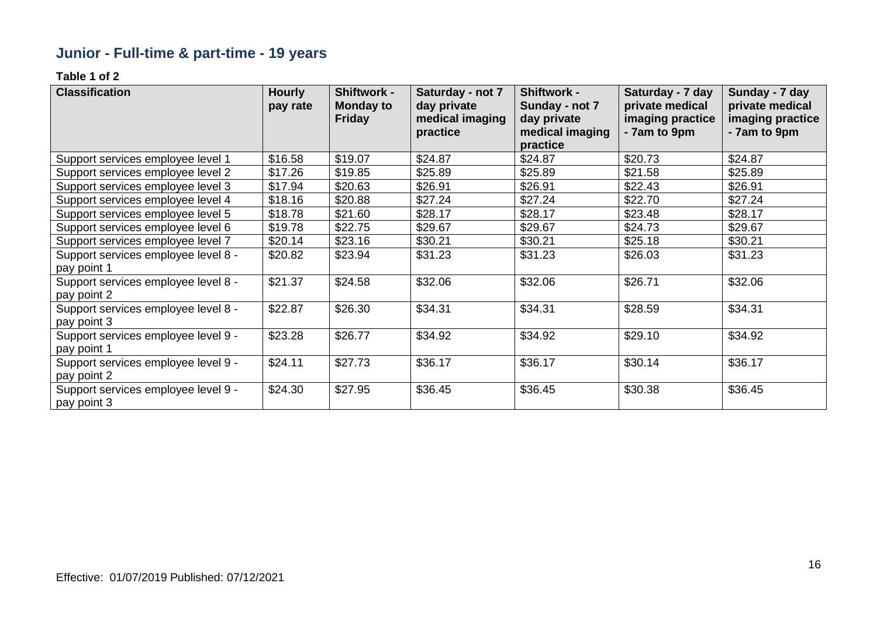# **Junior - Full-time & part-time - 19 years**

| <b>Classification</b>                              | <b>Hourly</b><br>pay rate | Shiftwork -<br><b>Monday to</b> | Saturday - not 7<br>day private | <b>Shiftwork -</b><br>Sunday - not 7 | Saturday - 7 day<br>private medical | Sunday - 7 day<br>private medical |
|----------------------------------------------------|---------------------------|---------------------------------|---------------------------------|--------------------------------------|-------------------------------------|-----------------------------------|
|                                                    |                           | <b>Friday</b>                   | medical imaging<br>practice     | day private<br>medical imaging       | imaging practice<br>- 7am to 9pm    | imaging practice<br>- 7am to 9pm  |
|                                                    |                           |                                 |                                 | practice                             |                                     |                                   |
| Support services employee level 1                  | \$16.58                   | \$19.07                         | \$24.87                         | \$24.87                              | \$20.73                             | \$24.87                           |
| Support services employee level 2                  | \$17.26                   | \$19.85                         | \$25.89                         | \$25.89                              | \$21.58                             | \$25.89                           |
| Support services employee level 3                  | \$17.94                   | \$20.63                         | \$26.91                         | \$26.91                              | \$22.43                             | \$26.91                           |
| Support services employee level 4                  | \$18.16                   | \$20.88                         | \$27.24                         | \$27.24                              | \$22.70                             | \$27.24                           |
| Support services employee level 5                  | \$18.78                   | \$21.60                         | \$28.17                         | \$28.17                              | \$23.48                             | \$28.17                           |
| Support services employee level 6                  | \$19.78                   | \$22.75                         | \$29.67                         | \$29.67                              | \$24.73                             | \$29.67                           |
| Support services employee level 7                  | \$20.14                   | \$23.16                         | \$30.21                         | \$30.21                              | \$25.18                             | \$30.21                           |
| Support services employee level 8 -                | \$20.82                   | \$23.94                         | \$31.23                         | \$31.23                              | \$26.03                             | \$31.23                           |
| pay point 1                                        |                           |                                 |                                 |                                      |                                     |                                   |
| Support services employee level 8 -                | \$21.37                   | \$24.58                         | \$32.06                         | \$32.06                              | \$26.71                             | \$32.06                           |
| pay point 2                                        |                           |                                 |                                 |                                      |                                     |                                   |
| Support services employee level 8 -                | \$22.87                   | \$26.30                         | \$34.31                         | \$34.31                              | \$28.59                             | \$34.31                           |
| pay point 3                                        |                           |                                 |                                 |                                      |                                     |                                   |
| Support services employee level 9 -                | \$23.28                   | \$26.77                         | \$34.92                         | \$34.92                              | \$29.10                             | \$34.92                           |
| pay point 1                                        |                           |                                 |                                 |                                      |                                     |                                   |
| Support services employee level 9 -                | \$24.11                   | \$27.73                         | \$36.17                         | \$36.17                              | \$30.14                             | \$36.17                           |
| pay point 2                                        |                           |                                 |                                 |                                      |                                     |                                   |
| Support services employee level 9 -<br>pay point 3 | \$24.30                   | \$27.95                         | \$36.45                         | \$36.45                              | \$30.38                             | \$36.45                           |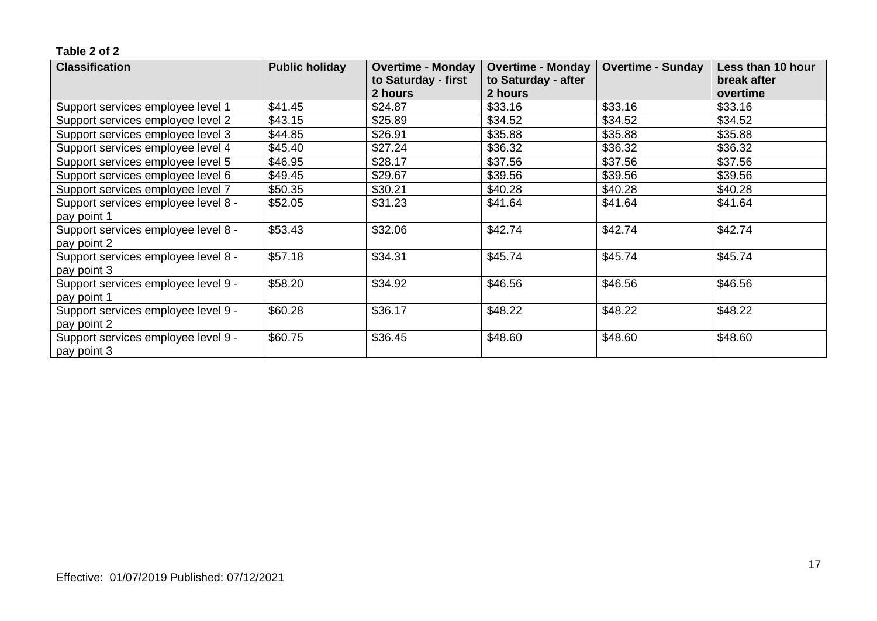| <b>Classification</b>               | <b>Public holiday</b> | <b>Overtime - Monday</b> | <b>Overtime - Monday</b> | <b>Overtime - Sunday</b> | Less than 10 hour |
|-------------------------------------|-----------------------|--------------------------|--------------------------|--------------------------|-------------------|
|                                     |                       | to Saturday - first      | to Saturday - after      |                          | break after       |
|                                     |                       | 2 hours                  | 2 hours                  |                          | overtime          |
| Support services employee level 1   | \$41.45               | \$24.87                  | \$33.16                  | \$33.16                  | \$33.16           |
| Support services employee level 2   | \$43.15               | \$25.89                  | \$34.52                  | \$34.52                  | \$34.52           |
| Support services employee level 3   | \$44.85               | \$26.91                  | \$35.88                  | \$35.88                  | \$35.88           |
| Support services employee level 4   | \$45.40               | \$27.24                  | \$36.32                  | \$36.32                  | \$36.32           |
| Support services employee level 5   | \$46.95               | \$28.17                  | \$37.56                  | \$37.56                  | \$37.56           |
| Support services employee level 6   | \$49.45               | \$29.67                  | \$39.56                  | \$39.56                  | \$39.56           |
| Support services employee level 7   | \$50.35               | \$30.21                  | \$40.28                  | \$40.28                  | \$40.28           |
| Support services employee level 8 - | \$52.05               | \$31.23                  | \$41.64                  | \$41.64                  | \$41.64           |
| pay point 1                         |                       |                          |                          |                          |                   |
| Support services employee level 8 - | \$53.43               | \$32.06                  | \$42.74                  | \$42.74                  | \$42.74           |
| pay point 2                         |                       |                          |                          |                          |                   |
| Support services employee level 8 - | \$57.18               | \$34.31                  | \$45.74                  | \$45.74                  | \$45.74           |
| pay point 3                         |                       |                          |                          |                          |                   |
| Support services employee level 9 - | \$58.20               | \$34.92                  | \$46.56                  | \$46.56                  | \$46.56           |
| pay point 1                         |                       |                          |                          |                          |                   |
| Support services employee level 9 - | \$60.28               | \$36.17                  | \$48.22                  | \$48.22                  | \$48.22           |
| pay point 2                         |                       |                          |                          |                          |                   |
| Support services employee level 9 - | \$60.75               | \$36.45                  | \$48.60                  | \$48.60                  | \$48.60           |
| pay point 3                         |                       |                          |                          |                          |                   |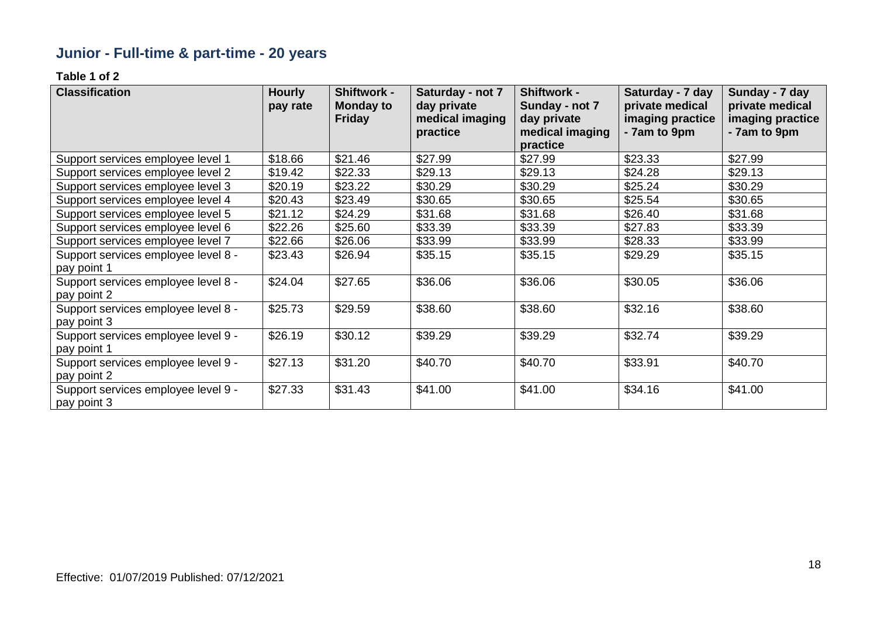# **Junior - Full-time & part-time - 20 years**

| <b>Classification</b>               | <b>Hourly</b><br>pay rate | Shiftwork -<br><b>Monday to</b> | Saturday - not 7<br>day private | <b>Shiftwork -</b><br>Sunday - not 7 | Saturday - 7 day<br>private medical | Sunday - 7 day<br>private medical |
|-------------------------------------|---------------------------|---------------------------------|---------------------------------|--------------------------------------|-------------------------------------|-----------------------------------|
|                                     |                           | <b>Friday</b>                   | medical imaging<br>practice     | day private<br>medical imaging       | imaging practice<br>- 7am to 9pm    | imaging practice<br>- 7am to 9pm  |
|                                     |                           |                                 |                                 | practice                             |                                     |                                   |
| Support services employee level 1   | \$18.66                   | \$21.46                         | \$27.99                         | \$27.99                              | \$23.33                             | \$27.99                           |
| Support services employee level 2   | \$19.42                   | \$22.33                         | \$29.13                         | \$29.13                              | \$24.28                             | \$29.13                           |
| Support services employee level 3   | \$20.19                   | \$23.22                         | \$30.29                         | \$30.29                              | \$25.24                             | \$30.29                           |
| Support services employee level 4   | \$20.43                   | \$23.49                         | \$30.65                         | \$30.65                              | \$25.54                             | \$30.65                           |
| Support services employee level 5   | \$21.12                   | \$24.29                         | \$31.68                         | \$31.68                              | \$26.40                             | \$31.68                           |
| Support services employee level 6   | \$22.26                   | \$25.60                         | \$33.39                         | \$33.39                              | \$27.83                             | \$33.39                           |
| Support services employee level 7   | \$22.66                   | \$26.06                         | \$33.99                         | \$33.99                              | \$28.33                             | \$33.99                           |
| Support services employee level 8 - | \$23.43                   | \$26.94                         | \$35.15                         | \$35.15                              | \$29.29                             | \$35.15                           |
| pay point 1                         |                           |                                 |                                 |                                      |                                     |                                   |
| Support services employee level 8 - | \$24.04                   | \$27.65                         | \$36.06                         | \$36.06                              | \$30.05                             | \$36.06                           |
| pay point 2                         |                           |                                 |                                 |                                      |                                     |                                   |
| Support services employee level 8 - | \$25.73                   | \$29.59                         | \$38.60                         | \$38.60                              | \$32.16                             | \$38.60                           |
| pay point 3                         |                           |                                 |                                 |                                      |                                     |                                   |
| Support services employee level 9 - | \$26.19                   | \$30.12                         | \$39.29                         | \$39.29                              | \$32.74                             | \$39.29                           |
| pay point 1                         |                           |                                 |                                 |                                      |                                     |                                   |
| Support services employee level 9 - | \$27.13                   | \$31.20                         | \$40.70                         | \$40.70                              | \$33.91                             | \$40.70                           |
| pay point 2                         |                           |                                 |                                 |                                      |                                     |                                   |
| Support services employee level 9 - | \$27.33                   | \$31.43                         | \$41.00                         | \$41.00                              | \$34.16                             | \$41.00                           |
| pay point 3                         |                           |                                 |                                 |                                      |                                     |                                   |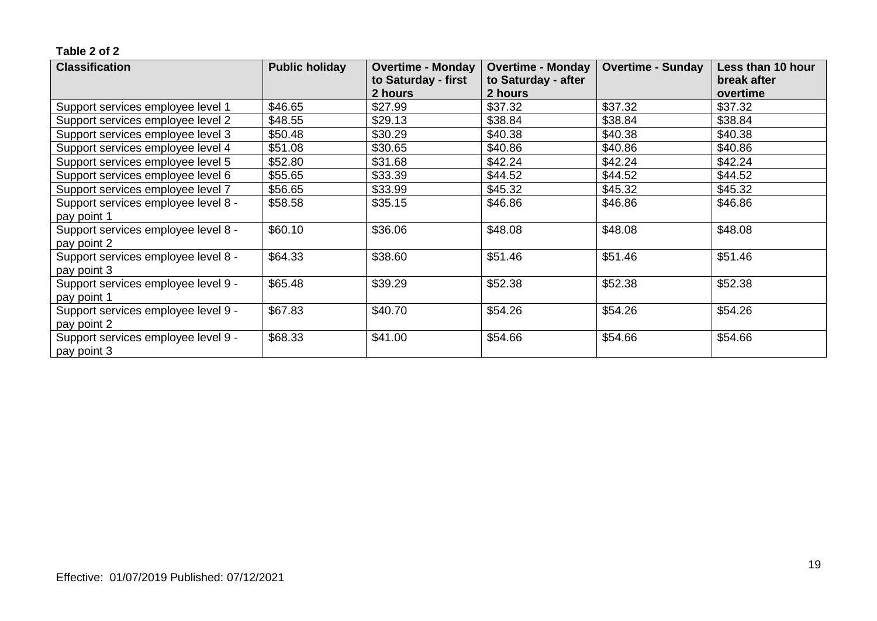| <b>Classification</b>               | <b>Public holiday</b> | <b>Overtime - Monday</b> | <b>Overtime - Monday</b> | <b>Overtime - Sunday</b> | Less than 10 hour |
|-------------------------------------|-----------------------|--------------------------|--------------------------|--------------------------|-------------------|
|                                     |                       | to Saturday - first      | to Saturday - after      |                          | break after       |
|                                     |                       | 2 hours                  | 2 hours                  |                          | overtime          |
| Support services employee level 1   | \$46.65               | \$27.99                  | \$37.32                  | \$37.32                  | \$37.32           |
| Support services employee level 2   | \$48.55               | \$29.13                  | \$38.84                  | \$38.84                  | \$38.84           |
| Support services employee level 3   | \$50.48               | \$30.29                  | \$40.38                  | \$40.38                  | \$40.38           |
| Support services employee level 4   | \$51.08               | \$30.65                  | \$40.86                  | \$40.86                  | \$40.86           |
| Support services employee level 5   | \$52.80               | \$31.68                  | \$42.24                  | \$42.24                  | \$42.24           |
| Support services employee level 6   | \$55.65               | \$33.39                  | \$44.52                  | \$44.52                  | \$44.52           |
| Support services employee level 7   | \$56.65               | \$33.99                  | \$45.32                  | \$45.32                  | \$45.32           |
| Support services employee level 8 - | \$58.58               | \$35.15                  | \$46.86                  | \$46.86                  | \$46.86           |
| pay point 1                         |                       |                          |                          |                          |                   |
| Support services employee level 8 - | \$60.10               | \$36.06                  | \$48.08                  | \$48.08                  | \$48.08           |
| pay point 2                         |                       |                          |                          |                          |                   |
| Support services employee level 8 - | \$64.33               | \$38.60                  | \$51.46                  | \$51.46                  | \$51.46           |
| pay point 3                         |                       |                          |                          |                          |                   |
| Support services employee level 9 - | \$65.48               | \$39.29                  | \$52.38                  | \$52.38                  | \$52.38           |
| pay point 1                         |                       |                          |                          |                          |                   |
| Support services employee level 9 - | \$67.83               | \$40.70                  | \$54.26                  | \$54.26                  | \$54.26           |
| pay point 2                         |                       |                          |                          |                          |                   |
| Support services employee level 9 - | \$68.33               | \$41.00                  | \$54.66                  | \$54.66                  | \$54.66           |
| pay point 3                         |                       |                          |                          |                          |                   |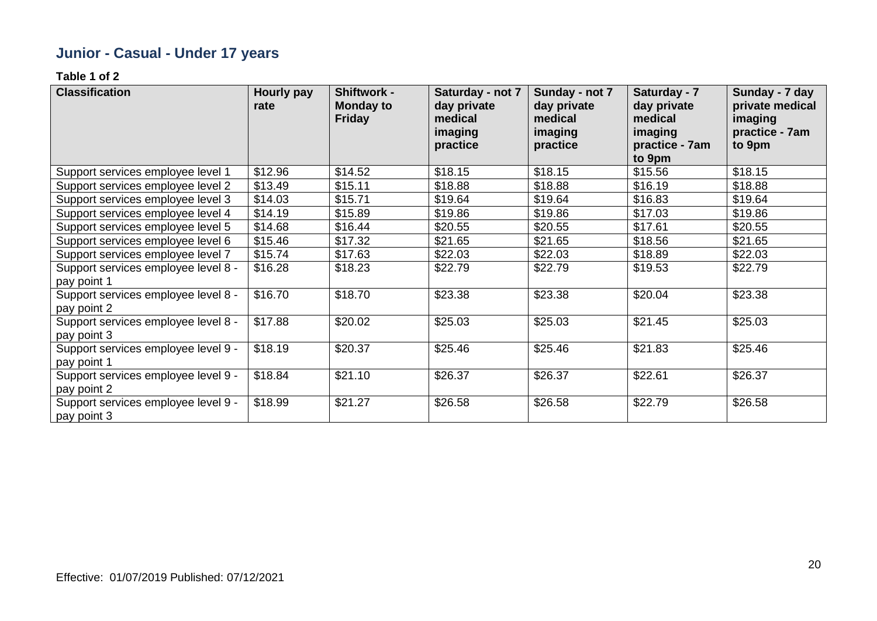# **Junior - Casual - Under 17 years**

| <b>Classification</b>                              | Hourly pay<br>rate | Shiftwork -<br><b>Monday to</b><br><b>Friday</b> | Saturday - not 7<br>day private<br>medical<br>imaging<br>practice | Sunday - not 7<br>day private<br>medical<br>imaging<br>practice | Saturday - 7<br>day private<br>medical<br>imaging<br>practice - 7am<br>to 9pm | Sunday - 7 day<br>private medical<br>imaging<br>practice - 7am<br>to 9pm |
|----------------------------------------------------|--------------------|--------------------------------------------------|-------------------------------------------------------------------|-----------------------------------------------------------------|-------------------------------------------------------------------------------|--------------------------------------------------------------------------|
| Support services employee level 1                  | \$12.96            | \$14.52                                          | \$18.15                                                           | \$18.15                                                         | \$15.56                                                                       | \$18.15                                                                  |
| Support services employee level 2                  | \$13.49            | \$15.11                                          | \$18.88                                                           | \$18.88                                                         | \$16.19                                                                       | \$18.88                                                                  |
| Support services employee level 3                  | \$14.03            | \$15.71                                          | \$19.64                                                           | \$19.64                                                         | \$16.83                                                                       | \$19.64                                                                  |
| Support services employee level 4                  | \$14.19            | \$15.89                                          | \$19.86                                                           | \$19.86                                                         | \$17.03                                                                       | \$19.86                                                                  |
| Support services employee level 5                  | \$14.68            | \$16.44                                          | \$20.55                                                           | \$20.55                                                         | \$17.61                                                                       | \$20.55                                                                  |
| Support services employee level 6                  | \$15.46            | \$17.32                                          | \$21.65                                                           | \$21.65                                                         | \$18.56                                                                       | \$21.65                                                                  |
| Support services employee level 7                  | \$15.74            | \$17.63                                          | \$22.03                                                           | \$22.03                                                         | \$18.89                                                                       | \$22.03                                                                  |
| Support services employee level 8 -<br>pay point 1 | \$16.28            | \$18.23                                          | \$22.79                                                           | \$22.79                                                         | \$19.53                                                                       | \$22.79                                                                  |
| Support services employee level 8 -<br>pay point 2 | \$16.70            | \$18.70                                          | \$23.38                                                           | \$23.38                                                         | \$20.04                                                                       | \$23.38                                                                  |
| Support services employee level 8 -<br>pay point 3 | \$17.88            | \$20.02                                          | \$25.03                                                           | \$25.03                                                         | \$21.45                                                                       | \$25.03                                                                  |
| Support services employee level 9 -<br>pay point 1 | \$18.19            | \$20.37                                          | \$25.46                                                           | \$25.46                                                         | \$21.83                                                                       | \$25.46                                                                  |
| Support services employee level 9 -<br>pay point 2 | \$18.84            | \$21.10                                          | \$26.37                                                           | \$26.37                                                         | \$22.61                                                                       | \$26.37                                                                  |
| Support services employee level 9 -<br>pay point 3 | \$18.99            | \$21.27                                          | \$26.58                                                           | \$26.58                                                         | \$22.79                                                                       | \$26.58                                                                  |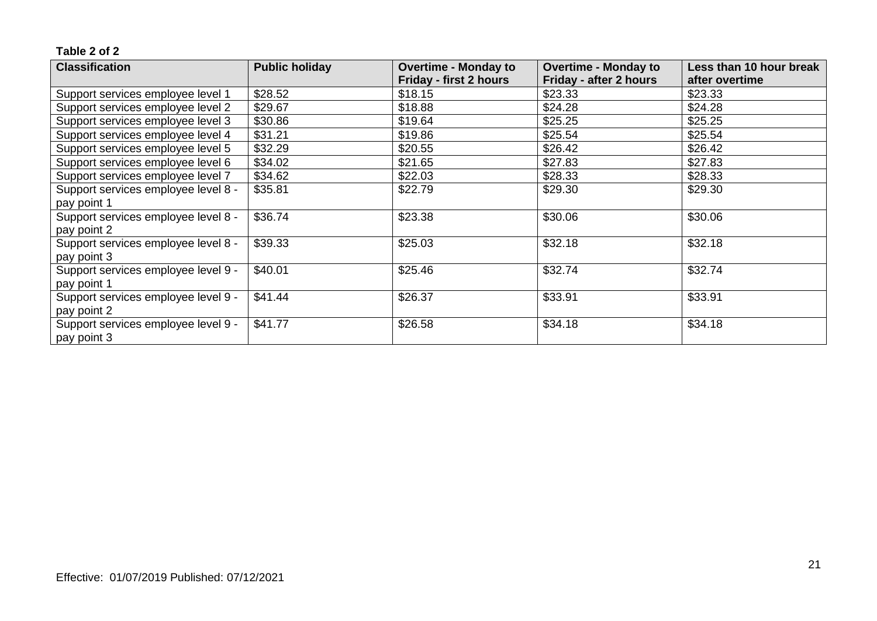| <b>Classification</b>               | <b>Public holiday</b> | <b>Overtime - Monday to</b> | <b>Overtime - Monday to</b> | Less than 10 hour break |
|-------------------------------------|-----------------------|-----------------------------|-----------------------------|-------------------------|
|                                     |                       | Friday - first 2 hours      | Friday - after 2 hours      | after overtime          |
| Support services employee level 1   | \$28.52               | \$18.15                     | \$23.33                     | \$23.33                 |
| Support services employee level 2   | \$29.67               | \$18.88                     | \$24.28                     | \$24.28                 |
| Support services employee level 3   | \$30.86               | \$19.64                     | \$25.25                     | \$25.25                 |
| Support services employee level 4   | \$31.21               | \$19.86                     | \$25.54                     | \$25.54                 |
| Support services employee level 5   | \$32.29               | \$20.55                     | \$26.42                     | \$26.42                 |
| Support services employee level 6   | \$34.02               | \$21.65                     | \$27.83                     | \$27.83                 |
| Support services employee level 7   | \$34.62               | \$22.03                     | \$28.33                     | \$28.33                 |
| Support services employee level 8 - | \$35.81               | \$22.79                     | \$29.30                     | \$29.30                 |
| pay point 1                         |                       |                             |                             |                         |
| Support services employee level 8 - | \$36.74               | \$23.38                     | \$30.06                     | \$30.06                 |
| pay point 2                         |                       |                             |                             |                         |
| Support services employee level 8 - | \$39.33               | \$25.03                     | \$32.18                     | \$32.18                 |
| pay point 3                         |                       |                             |                             |                         |
| Support services employee level 9 - | \$40.01               | \$25.46                     | \$32.74                     | \$32.74                 |
| pay point 1                         |                       |                             |                             |                         |
| Support services employee level 9 - | \$41.44               | \$26.37                     | \$33.91                     | \$33.91                 |
| pay point 2                         |                       |                             |                             |                         |
| Support services employee level 9 - | \$41.77               | \$26.58                     | \$34.18                     | \$34.18                 |
| pay point 3                         |                       |                             |                             |                         |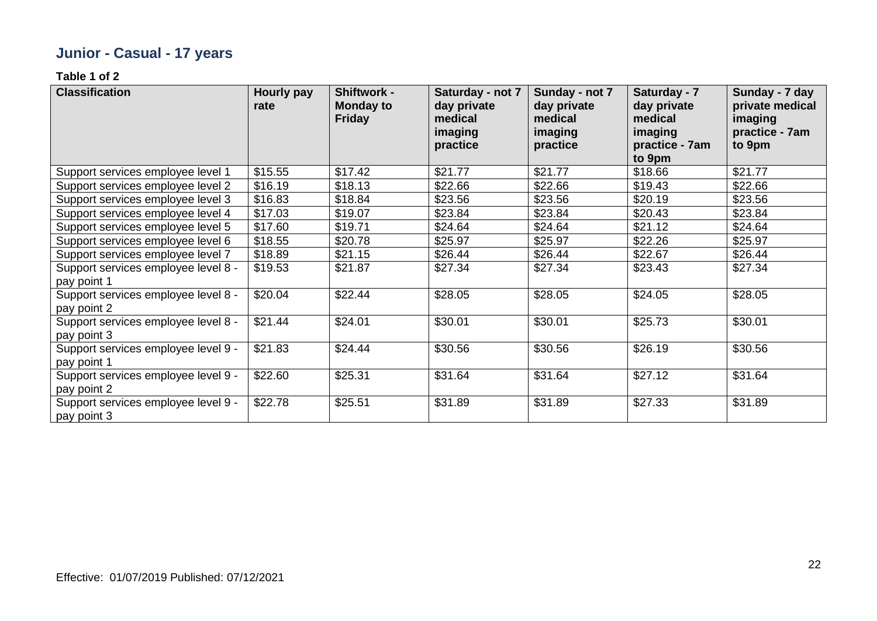# **Junior - Casual - 17 years**

| <b>Classification</b>                              | <b>Hourly pay</b><br>rate | Shiftwork -<br><b>Monday to</b><br><b>Friday</b> | Saturday - not 7<br>day private<br>medical<br>imaging<br>practice | Sunday - not 7<br>day private<br>medical<br>imaging<br>practice | Saturday - 7<br>day private<br>medical<br>imaging<br>practice - 7am<br>to 9pm | Sunday - 7 day<br>private medical<br>imaging<br>practice - 7am<br>to 9pm |
|----------------------------------------------------|---------------------------|--------------------------------------------------|-------------------------------------------------------------------|-----------------------------------------------------------------|-------------------------------------------------------------------------------|--------------------------------------------------------------------------|
| Support services employee level 1                  | \$15.55                   | \$17.42                                          | \$21.77                                                           | \$21.77                                                         | \$18.66                                                                       | \$21.77                                                                  |
| Support services employee level 2                  | \$16.19                   | \$18.13                                          | \$22.66                                                           | \$22.66                                                         | \$19.43                                                                       | \$22.66                                                                  |
| Support services employee level 3                  | \$16.83                   | \$18.84                                          | \$23.56                                                           | \$23.56                                                         | \$20.19                                                                       | \$23.56                                                                  |
| Support services employee level 4                  | \$17.03                   | \$19.07                                          | \$23.84                                                           | \$23.84                                                         | \$20.43                                                                       | \$23.84                                                                  |
| Support services employee level 5                  | \$17.60                   | \$19.71                                          | \$24.64                                                           | \$24.64                                                         | \$21.12                                                                       | \$24.64                                                                  |
| Support services employee level 6                  | \$18.55                   | \$20.78                                          | \$25.97                                                           | \$25.97                                                         | \$22.26                                                                       | \$25.97                                                                  |
| Support services employee level 7                  | \$18.89                   | \$21.15                                          | \$26.44                                                           | \$26.44                                                         | \$22.67                                                                       | \$26.44                                                                  |
| Support services employee level 8 -<br>pay point 1 | \$19.53                   | \$21.87                                          | \$27.34                                                           | \$27.34                                                         | \$23.43                                                                       | \$27.34                                                                  |
| Support services employee level 8 -<br>pay point 2 | \$20.04                   | \$22.44                                          | \$28.05                                                           | \$28.05                                                         | \$24.05                                                                       | \$28.05                                                                  |
| Support services employee level 8 -<br>pay point 3 | \$21.44                   | \$24.01                                          | \$30.01                                                           | \$30.01                                                         | \$25.73                                                                       | \$30.01                                                                  |
| Support services employee level 9 -<br>pay point 1 | \$21.83                   | \$24.44                                          | \$30.56                                                           | \$30.56                                                         | \$26.19                                                                       | \$30.56                                                                  |
| Support services employee level 9 -<br>pay point 2 | \$22.60                   | \$25.31                                          | \$31.64                                                           | \$31.64                                                         | \$27.12                                                                       | \$31.64                                                                  |
| Support services employee level 9 -<br>pay point 3 | \$22.78                   | \$25.51                                          | \$31.89                                                           | \$31.89                                                         | \$27.33                                                                       | \$31.89                                                                  |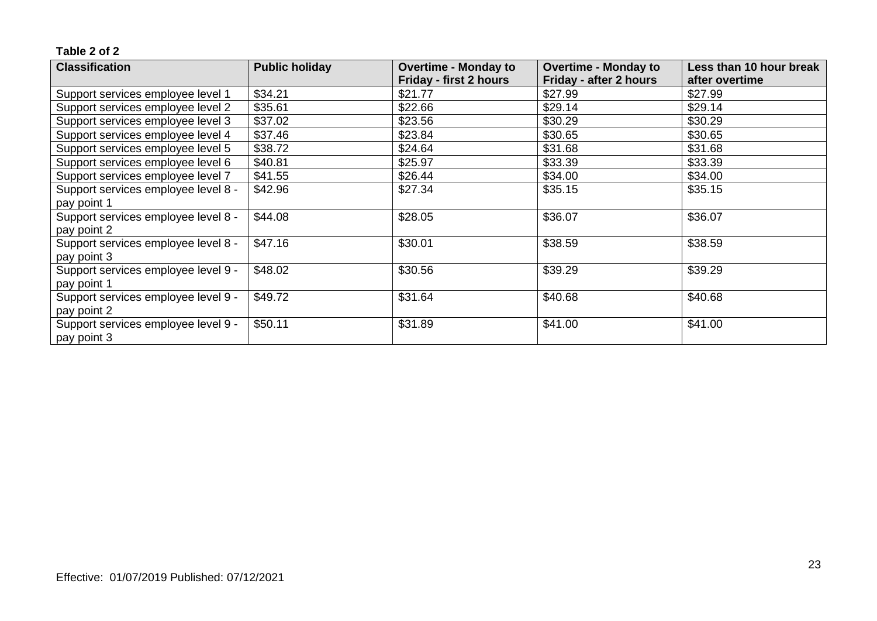| <b>Classification</b>               | <b>Public holiday</b> | <b>Overtime - Monday to</b> | <b>Overtime - Monday to</b> | Less than 10 hour break |
|-------------------------------------|-----------------------|-----------------------------|-----------------------------|-------------------------|
|                                     |                       | Friday - first 2 hours      | Friday - after 2 hours      | after overtime          |
| Support services employee level 1   | \$34.21               | \$21.77                     | \$27.99                     | \$27.99                 |
| Support services employee level 2   | \$35.61               | \$22.66                     | \$29.14                     | \$29.14                 |
| Support services employee level 3   | \$37.02               | \$23.56                     | \$30.29                     | \$30.29                 |
| Support services employee level 4   | \$37.46               | \$23.84                     | \$30.65                     | \$30.65                 |
| Support services employee level 5   | \$38.72               | \$24.64                     | \$31.68                     | \$31.68                 |
| Support services employee level 6   | \$40.81               | \$25.97                     | \$33.39                     | \$33.39                 |
| Support services employee level 7   | \$41.55               | \$26.44                     | \$34.00                     | \$34.00                 |
| Support services employee level 8 - | \$42.96               | \$27.34                     | \$35.15                     | \$35.15                 |
| pay point 1                         |                       |                             |                             |                         |
| Support services employee level 8 - | \$44.08               | \$28.05                     | \$36.07                     | \$36.07                 |
| pay point 2                         |                       |                             |                             |                         |
| Support services employee level 8 - | \$47.16               | \$30.01                     | \$38.59                     | \$38.59                 |
| pay point 3                         |                       |                             |                             |                         |
| Support services employee level 9 - | \$48.02               | \$30.56                     | \$39.29                     | \$39.29                 |
| pay point 1                         |                       |                             |                             |                         |
| Support services employee level 9 - | \$49.72               | \$31.64                     | \$40.68                     | \$40.68                 |
| pay point 2                         |                       |                             |                             |                         |
| Support services employee level 9 - | \$50.11               | \$31.89                     | \$41.00                     | \$41.00                 |
| pay point 3                         |                       |                             |                             |                         |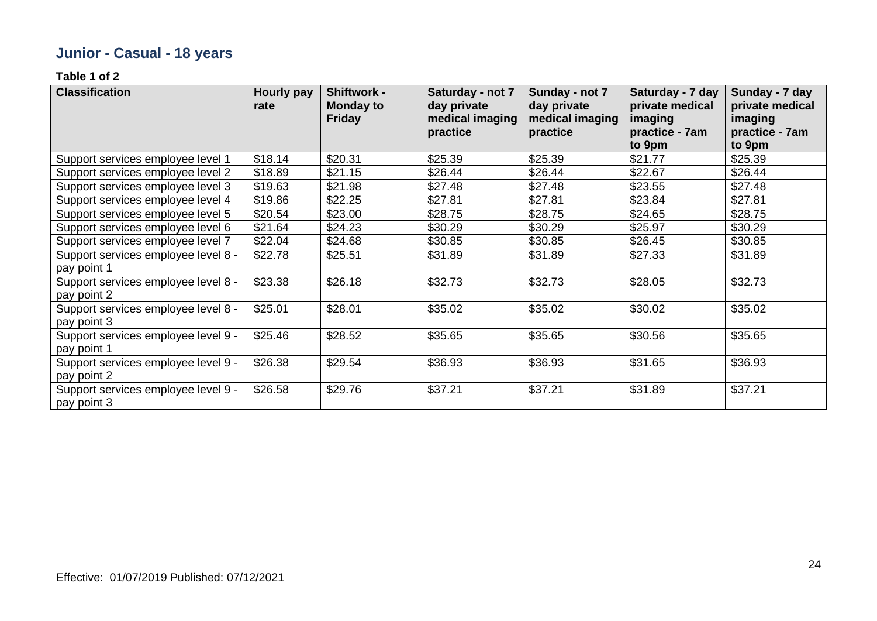# **Junior - Casual - 18 years**

| <b>Classification</b>                              | Hourly pay<br>rate | Shiftwork -<br><b>Monday to</b><br><b>Friday</b> | Saturday - not 7<br>day private<br>medical imaging<br>practice | Sunday - not 7<br>day private<br>medical imaging<br>practice | Saturday - 7 day<br>private medical<br>imaging<br>practice - 7am<br>to 9pm | Sunday - 7 day<br>private medical<br>imaging<br>practice - 7am<br>to 9pm |
|----------------------------------------------------|--------------------|--------------------------------------------------|----------------------------------------------------------------|--------------------------------------------------------------|----------------------------------------------------------------------------|--------------------------------------------------------------------------|
| Support services employee level 1                  | \$18.14            | \$20.31                                          | \$25.39                                                        | \$25.39                                                      | \$21.77                                                                    | \$25.39                                                                  |
| Support services employee level 2                  | \$18.89            | \$21.15                                          | \$26.44                                                        | \$26.44                                                      | \$22.67                                                                    | \$26.44                                                                  |
| Support services employee level 3                  | \$19.63            | \$21.98                                          | \$27.48                                                        | \$27.48                                                      | \$23.55                                                                    | \$27.48                                                                  |
| Support services employee level 4                  | \$19.86            | \$22.25                                          | \$27.81                                                        | \$27.81                                                      | \$23.84                                                                    | \$27.81                                                                  |
| Support services employee level 5                  | \$20.54            | \$23.00                                          | \$28.75                                                        | \$28.75                                                      | \$24.65                                                                    | \$28.75                                                                  |
| Support services employee level 6                  | \$21.64            | \$24.23                                          | \$30.29                                                        | \$30.29                                                      | \$25.97                                                                    | \$30.29                                                                  |
| Support services employee level 7                  | \$22.04            | \$24.68                                          | \$30.85                                                        | \$30.85                                                      | \$26.45                                                                    | \$30.85                                                                  |
| Support services employee level 8 -<br>pay point 1 | \$22.78            | \$25.51                                          | \$31.89                                                        | \$31.89                                                      | \$27.33                                                                    | \$31.89                                                                  |
| Support services employee level 8 -<br>pay point 2 | \$23.38            | \$26.18                                          | \$32.73                                                        | \$32.73                                                      | \$28.05                                                                    | \$32.73                                                                  |
| Support services employee level 8 -<br>pay point 3 | \$25.01            | \$28.01                                          | \$35.02                                                        | \$35.02                                                      | \$30.02                                                                    | \$35.02                                                                  |
| Support services employee level 9 -<br>pay point 1 | \$25.46            | \$28.52                                          | \$35.65                                                        | \$35.65                                                      | \$30.56                                                                    | \$35.65                                                                  |
| Support services employee level 9 -<br>pay point 2 | \$26.38            | \$29.54                                          | \$36.93                                                        | \$36.93                                                      | \$31.65                                                                    | \$36.93                                                                  |
| Support services employee level 9 -<br>pay point 3 | \$26.58            | \$29.76                                          | \$37.21                                                        | \$37.21                                                      | \$31.89                                                                    | \$37.21                                                                  |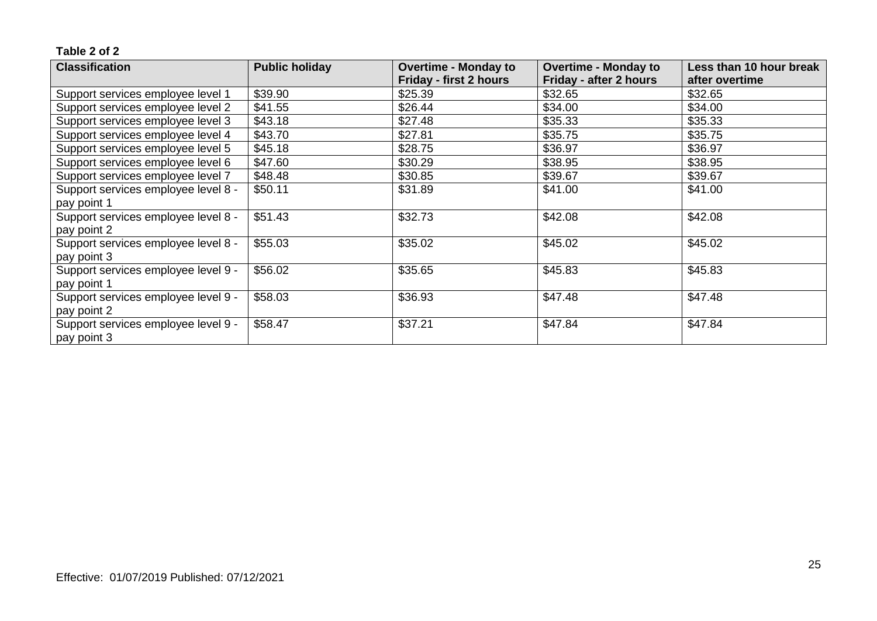| <b>Classification</b>               | <b>Public holiday</b> | <b>Overtime - Monday to</b> | <b>Overtime - Monday to</b> | Less than 10 hour break |
|-------------------------------------|-----------------------|-----------------------------|-----------------------------|-------------------------|
|                                     |                       | Friday - first 2 hours      | Friday - after 2 hours      | after overtime          |
| Support services employee level 1   | \$39.90               | \$25.39                     | \$32.65                     | \$32.65                 |
| Support services employee level 2   | \$41.55               | \$26.44                     | \$34.00                     | \$34.00                 |
| Support services employee level 3   | \$43.18               | \$27.48                     | \$35.33                     | \$35.33                 |
| Support services employee level 4   | \$43.70               | \$27.81                     | \$35.75                     | \$35.75                 |
| Support services employee level 5   | \$45.18               | \$28.75                     | \$36.97                     | \$36.97                 |
| Support services employee level 6   | \$47.60               | \$30.29                     | \$38.95                     | \$38.95                 |
| Support services employee level 7   | \$48.48               | \$30.85                     | \$39.67                     | \$39.67                 |
| Support services employee level 8 - | \$50.11               | \$31.89                     | \$41.00                     | \$41.00                 |
| pay point 1                         |                       |                             |                             |                         |
| Support services employee level 8 - | \$51.43               | \$32.73                     | \$42.08                     | \$42.08                 |
| pay point 2                         |                       |                             |                             |                         |
| Support services employee level 8 - | \$55.03               | \$35.02                     | \$45.02                     | \$45.02                 |
| pay point 3                         |                       |                             |                             |                         |
| Support services employee level 9 - | \$56.02               | \$35.65                     | \$45.83                     | \$45.83                 |
| pay point 1                         |                       |                             |                             |                         |
| Support services employee level 9 - | \$58.03               | \$36.93                     | \$47.48                     | \$47.48                 |
| pay point 2                         |                       |                             |                             |                         |
| Support services employee level 9 - | \$58.47               | \$37.21                     | \$47.84                     | \$47.84                 |
| pay point 3                         |                       |                             |                             |                         |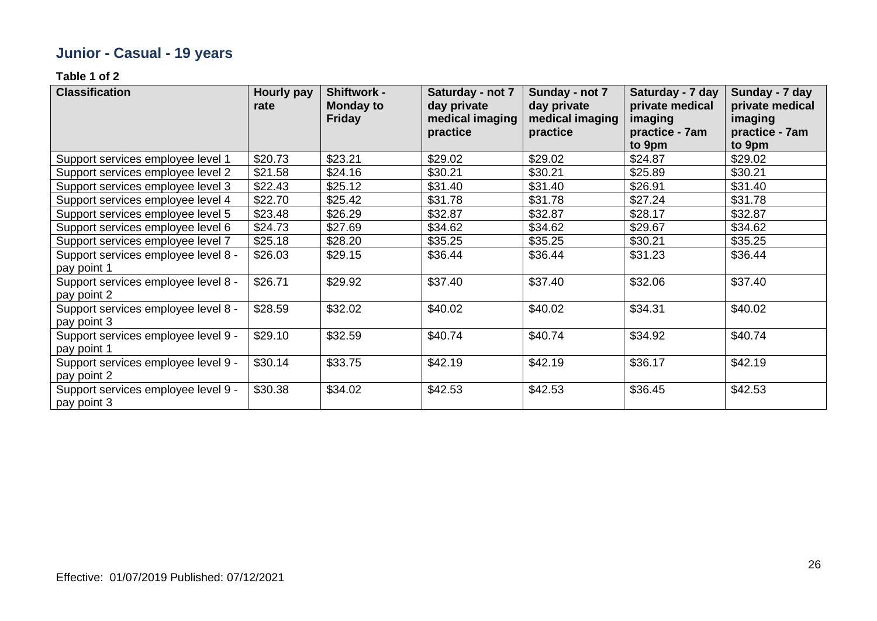# **Junior - Casual - 19 years**

| <b>Classification</b>                              | Hourly pay<br>rate | Shiftwork -<br><b>Monday to</b><br><b>Friday</b> | Saturday - not 7<br>day private<br>medical imaging<br>practice | Sunday - not 7<br>day private<br>medical imaging<br>practice | Saturday - 7 day<br>private medical<br>imaging<br>practice - 7am<br>to 9pm | Sunday - 7 day<br>private medical<br>imaging<br>practice - 7am<br>to 9pm |
|----------------------------------------------------|--------------------|--------------------------------------------------|----------------------------------------------------------------|--------------------------------------------------------------|----------------------------------------------------------------------------|--------------------------------------------------------------------------|
| Support services employee level 1                  | \$20.73            | \$23.21                                          | \$29.02                                                        | \$29.02                                                      | \$24.87                                                                    | \$29.02                                                                  |
| Support services employee level 2                  | \$21.58            | \$24.16                                          | \$30.21                                                        | \$30.21                                                      | \$25.89                                                                    | \$30.21                                                                  |
| Support services employee level 3                  | \$22.43            | \$25.12                                          | \$31.40                                                        | \$31.40                                                      | \$26.91                                                                    | \$31.40                                                                  |
| Support services employee level 4                  | \$22.70            | \$25.42                                          | \$31.78                                                        | \$31.78                                                      | \$27.24                                                                    | \$31.78                                                                  |
| Support services employee level 5                  | \$23.48            | \$26.29                                          | \$32.87                                                        | \$32.87                                                      | \$28.17                                                                    | \$32.87                                                                  |
| Support services employee level 6                  | \$24.73            | \$27.69                                          | \$34.62                                                        | \$34.62                                                      | \$29.67                                                                    | \$34.62                                                                  |
| Support services employee level 7                  | \$25.18            | \$28.20                                          | \$35.25                                                        | \$35.25                                                      | \$30.21                                                                    | \$35.25                                                                  |
| Support services employee level 8 -<br>pay point 1 | \$26.03            | \$29.15                                          | \$36.44                                                        | \$36.44                                                      | \$31.23                                                                    | \$36.44                                                                  |
| Support services employee level 8 -<br>pay point 2 | \$26.71            | \$29.92                                          | \$37.40                                                        | \$37.40                                                      | \$32.06                                                                    | \$37.40                                                                  |
| Support services employee level 8 -<br>pay point 3 | \$28.59            | \$32.02                                          | \$40.02                                                        | \$40.02                                                      | \$34.31                                                                    | \$40.02                                                                  |
| Support services employee level 9 -<br>pay point 1 | \$29.10            | \$32.59                                          | \$40.74                                                        | \$40.74                                                      | \$34.92                                                                    | \$40.74                                                                  |
| Support services employee level 9 -<br>pay point 2 | \$30.14            | \$33.75                                          | \$42.19                                                        | \$42.19                                                      | \$36.17                                                                    | \$42.19                                                                  |
| Support services employee level 9 -<br>pay point 3 | \$30.38            | \$34.02                                          | \$42.53                                                        | \$42.53                                                      | \$36.45                                                                    | \$42.53                                                                  |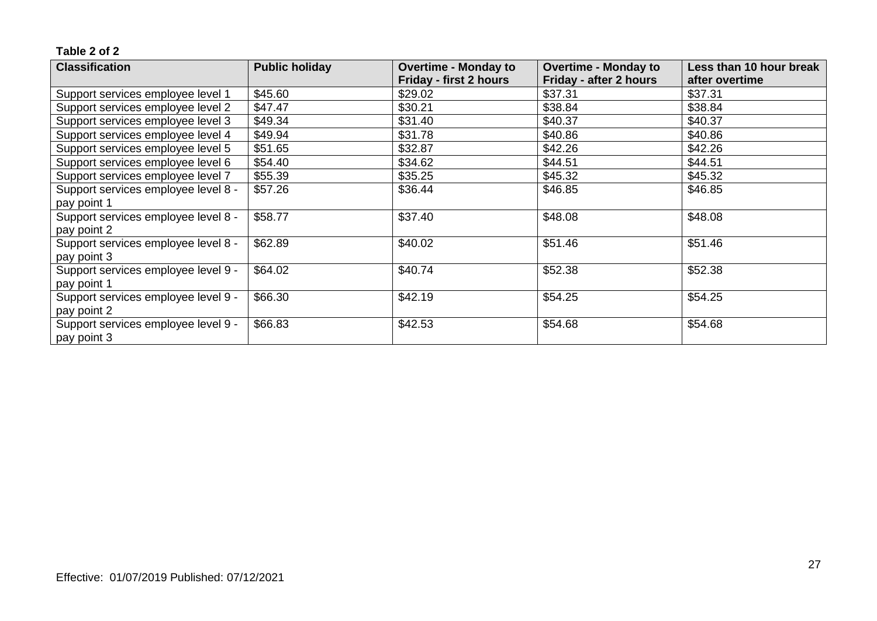| <b>Classification</b>               | <b>Public holiday</b> | <b>Overtime - Monday to</b><br><b>Overtime - Monday to</b> |                        | Less than 10 hour break |
|-------------------------------------|-----------------------|------------------------------------------------------------|------------------------|-------------------------|
|                                     |                       | Friday - first 2 hours                                     | Friday - after 2 hours | after overtime          |
| Support services employee level 1   | \$45.60               | \$29.02                                                    | \$37.31                | \$37.31                 |
| Support services employee level 2   | \$47.47               | \$30.21                                                    | \$38.84                | \$38.84                 |
| Support services employee level 3   | \$49.34               | \$31.40                                                    | \$40.37                | \$40.37                 |
| Support services employee level 4   | \$49.94               | \$31.78                                                    | \$40.86                | \$40.86                 |
| Support services employee level 5   | \$51.65               | \$32.87                                                    | \$42.26                | \$42.26                 |
| Support services employee level 6   | \$54.40               | \$34.62                                                    | \$44.51                | \$44.51                 |
| Support services employee level 7   | \$55.39               | \$35.25                                                    | \$45.32                | \$45.32                 |
| Support services employee level 8 - | \$57.26               | \$36.44                                                    | \$46.85                | \$46.85                 |
| pay point 1                         |                       |                                                            |                        |                         |
| Support services employee level 8 - | \$58.77               | \$37.40                                                    | \$48.08                | \$48.08                 |
| pay point 2                         |                       |                                                            |                        |                         |
| Support services employee level 8 - | \$62.89               | \$40.02                                                    | \$51.46                | \$51.46                 |
| pay point 3                         |                       |                                                            |                        |                         |
| Support services employee level 9 - | \$64.02               | \$40.74                                                    | \$52.38                | \$52.38                 |
| pay point 1                         |                       |                                                            |                        |                         |
| Support services employee level 9 - | \$66.30               | \$42.19                                                    | \$54.25                | \$54.25                 |
| pay point 2                         |                       |                                                            |                        |                         |
| Support services employee level 9 - | \$66.83               | \$42.53                                                    | \$54.68                | \$54.68                 |
| pay point 3                         |                       |                                                            |                        |                         |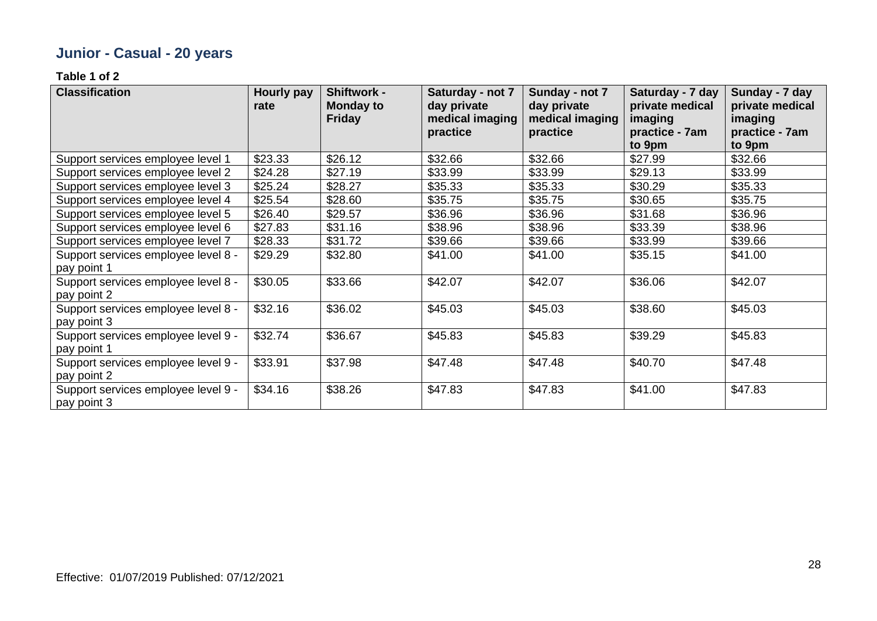# **Junior - Casual - 20 years**

| <b>Classification</b>                              | Hourly pay<br>rate | Shiftwork -<br><b>Monday to</b><br><b>Friday</b> | Saturday - not 7<br>day private<br>medical imaging<br>practice | Sunday - not 7<br>day private<br>medical imaging<br>practice | Saturday - 7 day<br>private medical<br>imaging<br>practice - 7am<br>to 9pm | Sunday - 7 day<br>private medical<br>imaging<br>practice - 7am<br>to 9pm |
|----------------------------------------------------|--------------------|--------------------------------------------------|----------------------------------------------------------------|--------------------------------------------------------------|----------------------------------------------------------------------------|--------------------------------------------------------------------------|
| Support services employee level 1                  | \$23.33            | \$26.12                                          | \$32.66                                                        | \$32.66                                                      | \$27.99                                                                    | \$32.66                                                                  |
| Support services employee level 2                  | \$24.28            | \$27.19                                          | \$33.99                                                        | \$33.99                                                      | \$29.13                                                                    | \$33.99                                                                  |
| Support services employee level 3                  | \$25.24            | \$28.27                                          | \$35.33                                                        | \$35.33                                                      | \$30.29                                                                    | \$35.33                                                                  |
| Support services employee level 4                  | \$25.54            | \$28.60                                          | \$35.75                                                        | \$35.75                                                      | \$30.65                                                                    | \$35.75                                                                  |
| Support services employee level 5                  | \$26.40            | \$29.57                                          | \$36.96                                                        | \$36.96                                                      | \$31.68                                                                    | \$36.96                                                                  |
| Support services employee level 6                  | \$27.83            | \$31.16                                          | \$38.96                                                        | \$38.96                                                      | \$33.39                                                                    | \$38.96                                                                  |
| Support services employee level 7                  | \$28.33            | \$31.72                                          | \$39.66                                                        | \$39.66                                                      | \$33.99                                                                    | \$39.66                                                                  |
| Support services employee level 8 -<br>pay point 1 | \$29.29            | \$32.80                                          | \$41.00                                                        | \$41.00                                                      | \$35.15                                                                    | \$41.00                                                                  |
| Support services employee level 8 -<br>pay point 2 | \$30.05            | \$33.66                                          | \$42.07                                                        | \$42.07                                                      | \$36.06                                                                    | \$42.07                                                                  |
| Support services employee level 8 -<br>pay point 3 | \$32.16            | \$36.02                                          | \$45.03                                                        | \$45.03                                                      | \$38.60                                                                    | \$45.03                                                                  |
| Support services employee level 9 -<br>pay point 1 | \$32.74            | \$36.67                                          | \$45.83                                                        | \$45.83                                                      | \$39.29                                                                    | \$45.83                                                                  |
| Support services employee level 9 -<br>pay point 2 | \$33.91            | \$37.98                                          | \$47.48                                                        | \$47.48                                                      | \$40.70                                                                    | \$47.48                                                                  |
| Support services employee level 9 -<br>pay point 3 | \$34.16            | \$38.26                                          | \$47.83                                                        | \$47.83                                                      | \$41.00                                                                    | \$47.83                                                                  |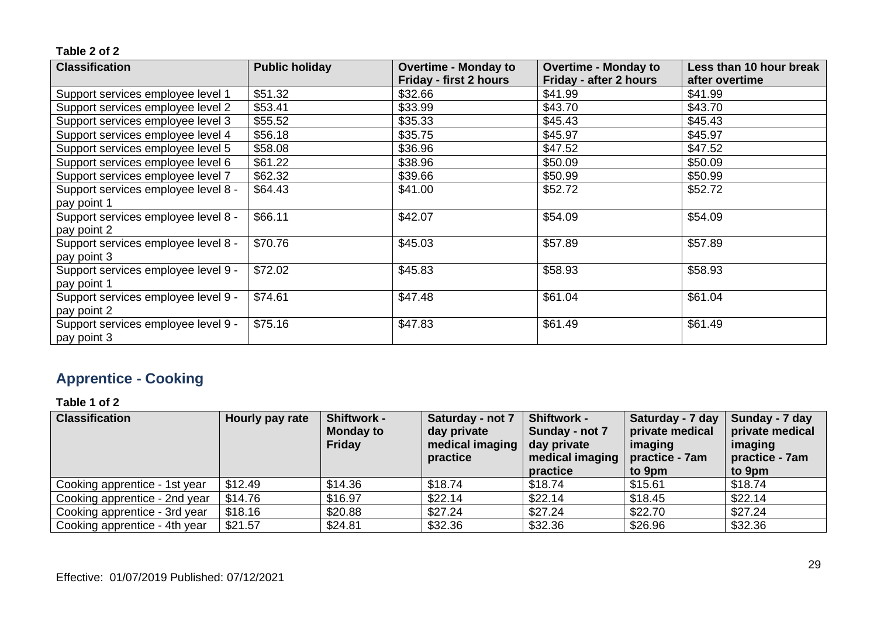| <b>Classification</b>               | <b>Public holiday</b> | <b>Overtime - Monday to</b>   | <b>Overtime - Monday to</b> | Less than 10 hour break |
|-------------------------------------|-----------------------|-------------------------------|-----------------------------|-------------------------|
|                                     |                       | <b>Friday - first 2 hours</b> | Friday - after 2 hours      | after overtime          |
| Support services employee level 1   | \$51.32               | \$32.66                       | \$41.99                     | \$41.99                 |
| Support services employee level 2   | \$53.41               | \$33.99                       | \$43.70                     | \$43.70                 |
| Support services employee level 3   | \$55.52               | \$35.33                       | \$45.43                     | \$45.43                 |
| Support services employee level 4   | \$56.18               | \$35.75                       | \$45.97                     | \$45.97                 |
| Support services employee level 5   | \$58.08               | \$36.96                       | \$47.52                     | \$47.52                 |
| Support services employee level 6   | \$61.22               | \$38.96                       | \$50.09                     | \$50.09                 |
| Support services employee level 7   | \$62.32               | \$39.66                       | \$50.99                     | \$50.99                 |
| Support services employee level 8 - | \$64.43               | \$41.00                       | \$52.72                     | \$52.72                 |
| pay point 1                         |                       |                               |                             |                         |
| Support services employee level 8 - | \$66.11               | \$42.07                       | \$54.09                     | \$54.09                 |
| pay point 2                         |                       |                               |                             |                         |
| Support services employee level 8 - | \$70.76               | \$45.03                       | \$57.89                     | \$57.89                 |
| pay point 3                         |                       |                               |                             |                         |
| Support services employee level 9 - | \$72.02               | \$45.83                       | \$58.93                     | \$58.93                 |
| pay point 1                         |                       |                               |                             |                         |
| Support services employee level 9 - | \$74.61               | \$47.48                       | \$61.04                     | \$61.04                 |
| pay point 2                         |                       |                               |                             |                         |
| Support services employee level 9 - | \$75.16               | \$47.83                       | \$61.49                     | \$61.49                 |
| pay point 3                         |                       |                               |                             |                         |

# **Apprentice - Cooking**

| <b>Classification</b>         | Hourly pay rate | <b>Shiftwork -</b><br><b>Monday to</b><br><b>Friday</b> | Saturday - not 7<br>day private<br>medical imaging<br>practice | <b>Shiftwork -</b><br>Sunday - not 7<br>day private<br>medical imaging $ $ practice - $7$ am<br>practice | Saturday - 7 day<br>private medical<br>imaging<br>to 9pm | Sunday - 7 day<br>private medical<br>imaging<br>practice - 7am<br>to 9pm |
|-------------------------------|-----------------|---------------------------------------------------------|----------------------------------------------------------------|----------------------------------------------------------------------------------------------------------|----------------------------------------------------------|--------------------------------------------------------------------------|
| Cooking apprentice - 1st year | \$12.49         | \$14.36                                                 | \$18.74                                                        | \$18.74                                                                                                  | \$15.61                                                  | \$18.74                                                                  |
| Cooking apprentice - 2nd year | \$14.76         | \$16.97                                                 | \$22.14                                                        | \$22.14                                                                                                  | \$18.45                                                  | \$22.14                                                                  |
| Cooking apprentice - 3rd year | \$18.16         | \$20.88                                                 | \$27.24                                                        | \$27.24                                                                                                  | \$22.70                                                  | \$27.24                                                                  |
| Cooking apprentice - 4th year | \$21.57         | \$24.81                                                 | \$32.36                                                        | \$32.36                                                                                                  | \$26.96                                                  | \$32.36                                                                  |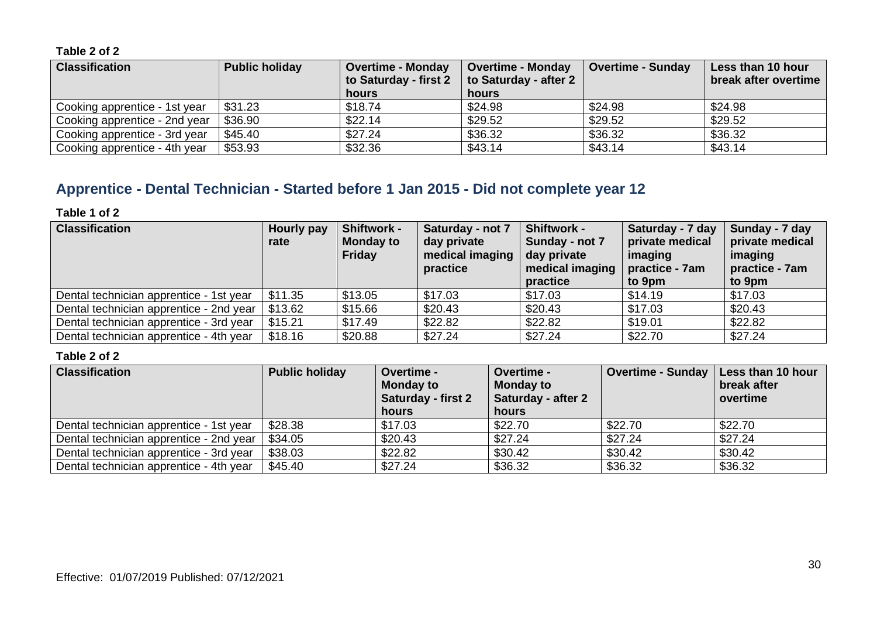| <b>Classification</b>         | <b>Public holiday</b> | <b>Overtime - Monday</b><br>to Saturday - first 2 | <b>Overtime - Monday</b><br>to Saturday - after 2 | <b>Overtime - Sunday</b> | Less than 10 hour<br>break after overtime |
|-------------------------------|-----------------------|---------------------------------------------------|---------------------------------------------------|--------------------------|-------------------------------------------|
|                               |                       | hours                                             | hours                                             |                          |                                           |
| Cooking apprentice - 1st year | \$31.23               | \$18.74                                           | \$24.98                                           | \$24.98                  | \$24.98                                   |
| Cooking apprentice - 2nd year | \$36.90               | \$22.14                                           | \$29.52                                           | \$29.52                  | \$29.52                                   |
| Cooking apprentice - 3rd year | \$45.40               | \$27.24                                           | \$36.32                                           | \$36.32                  | \$36.32                                   |
| Cooking apprentice - 4th year | \$53.93               | \$32.36                                           | \$43.14                                           | \$43.14                  | \$43.14                                   |

# **Apprentice - Dental Technician - Started before 1 Jan 2015 - Did not complete year 12**

#### **Table 1 of 2**

| <b>Classification</b>                   | Hourly pay<br>rate | <b>Shiftwork -</b><br><b>Monday to</b><br>Friday | Saturday - not 7<br>day private<br>medical imaging<br>practice | <b>Shiftwork -</b><br>Sunday - not 7<br>day private<br>medical imaging $ $ practice - $7$ am<br>practice | Saturday - 7 day<br>private medical<br>imaging<br>to 9pm | Sunday - 7 day<br>private medical<br>imaging<br>practice - 7am<br>to 9pm |
|-----------------------------------------|--------------------|--------------------------------------------------|----------------------------------------------------------------|----------------------------------------------------------------------------------------------------------|----------------------------------------------------------|--------------------------------------------------------------------------|
| Dental technician apprentice - 1st year | \$11.35            | \$13.05                                          | \$17.03                                                        | \$17.03                                                                                                  | \$14.19                                                  | \$17.03                                                                  |
| Dental technician apprentice - 2nd year | \$13.62            | \$15.66                                          | \$20.43                                                        | \$20.43                                                                                                  | \$17.03                                                  | \$20.43                                                                  |
| Dental technician apprentice - 3rd year | \$15.21            | \$17.49                                          | \$22.82                                                        | \$22.82                                                                                                  | \$19.01                                                  | \$22.82                                                                  |
| Dental technician apprentice - 4th year | \$18.16            | \$20.88                                          | \$27.24                                                        | \$27.24                                                                                                  | \$22.70                                                  | \$27.24                                                                  |

| <b>Classification</b>                   | <b>Public holiday</b> | <b>Overtime -</b><br><b>Monday to</b><br><b>Saturday - first 2</b><br>hours | <b>Overtime -</b><br><b>Monday to</b><br>Saturday - after 2<br>hours | <b>Overtime - Sunday</b> | Less than 10 hour<br>break after<br>overtime |
|-----------------------------------------|-----------------------|-----------------------------------------------------------------------------|----------------------------------------------------------------------|--------------------------|----------------------------------------------|
| Dental technician apprentice - 1st year | \$28.38               | \$17.03                                                                     | \$22.70                                                              | \$22.70                  | \$22.70                                      |
| Dental technician apprentice - 2nd year | \$34.05               | \$20.43                                                                     | \$27.24                                                              | \$27.24                  | \$27.24                                      |
| Dental technician apprentice - 3rd year | \$38.03               | \$22.82                                                                     | \$30.42                                                              | \$30.42                  | \$30.42                                      |
| Dental technician apprentice - 4th year | \$45.40               | \$27.24                                                                     | \$36.32                                                              | \$36.32                  | \$36.32                                      |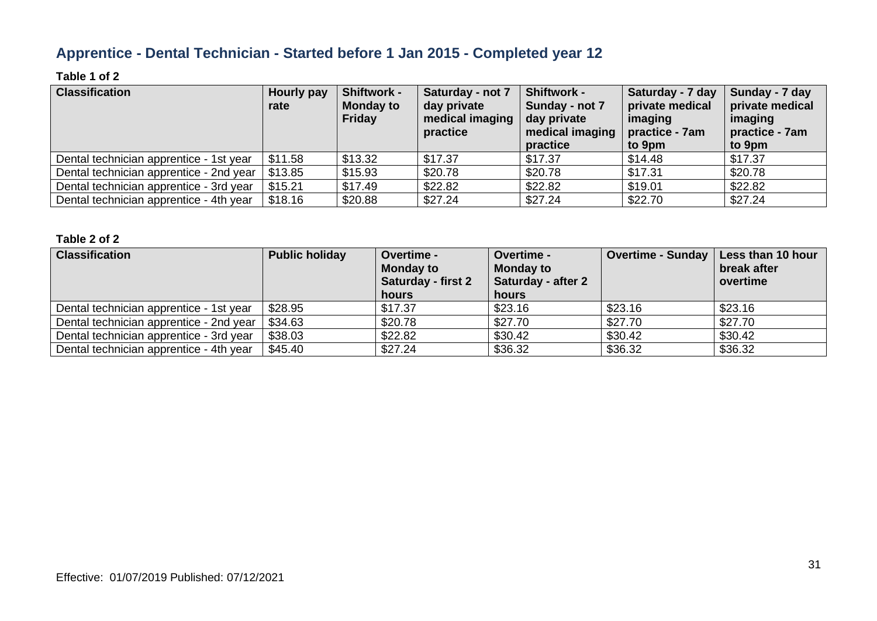# **Apprentice - Dental Technician - Started before 1 Jan 2015 - Completed year 12**

### **Table 1 of 2**

| <b>Classification</b>                   | Hourly pay<br>rate | <b>Shiftwork -</b><br><b>Monday to</b><br>Friday | Saturday - not 7<br>day private<br>medical imaging<br>practice | <b>Shiftwork -</b><br>Sunday - not 7<br>day private<br>medical imaging $ $ practice - 7am<br>practice | Saturday - 7 day<br>private medical<br>imaging<br>to 9pm | Sunday - 7 day<br>private medical<br>imaging<br>practice - 7am<br>to 9pm |
|-----------------------------------------|--------------------|--------------------------------------------------|----------------------------------------------------------------|-------------------------------------------------------------------------------------------------------|----------------------------------------------------------|--------------------------------------------------------------------------|
| Dental technician apprentice - 1st year | \$11.58            | \$13.32                                          | \$17.37                                                        | \$17.37                                                                                               | \$14.48                                                  | \$17.37                                                                  |
| Dental technician apprentice - 2nd year | \$13.85            | \$15.93                                          | \$20.78                                                        | \$20.78                                                                                               | \$17.31                                                  | \$20.78                                                                  |
| Dental technician apprentice - 3rd year | \$15.21            | \$17.49                                          | \$22.82                                                        | \$22.82                                                                                               | \$19.01                                                  | \$22.82                                                                  |
| Dental technician apprentice - 4th year | \$18.16            | \$20.88                                          | \$27.24                                                        | \$27.24                                                                                               | \$22.70                                                  | \$27.24                                                                  |

| <b>Classification</b>                   | <b>Public holiday</b> | <b>Overtime -</b><br><b>Monday to</b><br><b>Saturday - first 2</b><br>hours | <b>Overtime -</b><br><b>Monday to</b><br><b>Saturday - after 2</b><br>hours | <b>Overtime - Sunday</b> | Less than 10 hour<br>break after<br>overtime |
|-----------------------------------------|-----------------------|-----------------------------------------------------------------------------|-----------------------------------------------------------------------------|--------------------------|----------------------------------------------|
| Dental technician apprentice - 1st year | \$28.95               | \$17.37                                                                     | \$23.16                                                                     | \$23.16                  | \$23.16                                      |
| Dental technician apprentice - 2nd year | \$34.63               | \$20.78                                                                     | \$27.70                                                                     | \$27.70                  | \$27.70                                      |
| Dental technician apprentice - 3rd year | \$38.03               | \$22.82                                                                     | \$30.42                                                                     | \$30.42                  | \$30.42                                      |
| Dental technician apprentice - 4th year | \$45.40               | \$27.24                                                                     | \$36.32                                                                     | \$36.32                  | \$36.32                                      |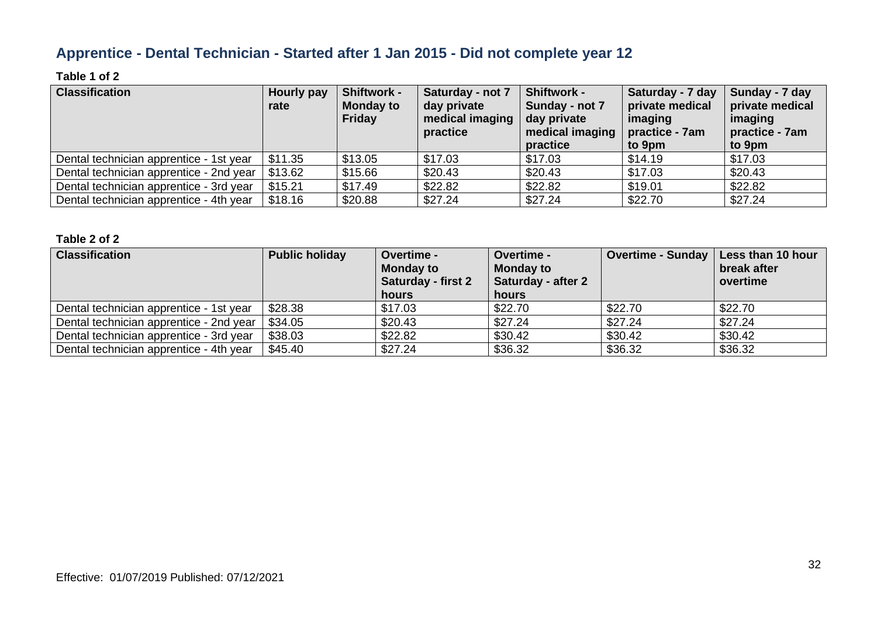# **Apprentice - Dental Technician - Started after 1 Jan 2015 - Did not complete year 12**

### **Table 1 of 2**

| <b>Classification</b>                   | Hourly pay<br>rate | <b>Shiftwork -</b><br><b>Monday to</b><br>Friday | Saturday - not 7<br>day private<br>medical imaging<br>practice | <b>Shiftwork -</b><br>Sunday - not 7<br>day private<br>medical imaging $ $ practice - 7am<br>practice | Saturday - 7 day<br>private medical<br>imaging<br>to 9pm | Sunday - 7 day<br>private medical<br>imaging<br>practice - 7am<br>to 9pm |
|-----------------------------------------|--------------------|--------------------------------------------------|----------------------------------------------------------------|-------------------------------------------------------------------------------------------------------|----------------------------------------------------------|--------------------------------------------------------------------------|
| Dental technician apprentice - 1st year | \$11.35            | \$13.05                                          | \$17.03                                                        | \$17.03                                                                                               | \$14.19                                                  | \$17.03                                                                  |
| Dental technician apprentice - 2nd year | \$13.62            | \$15.66                                          | \$20.43                                                        | \$20.43                                                                                               | \$17.03                                                  | \$20.43                                                                  |
| Dental technician apprentice - 3rd year | \$15.21            | \$17.49                                          | \$22.82                                                        | \$22.82                                                                                               | \$19.01                                                  | \$22.82                                                                  |
| Dental technician apprentice - 4th year | \$18.16            | \$20.88                                          | \$27.24                                                        | \$27.24                                                                                               | \$22.70                                                  | \$27.24                                                                  |

| <b>Classification</b>                   | <b>Public holiday</b> | <b>Overtime -</b><br><b>Monday to</b><br><b>Saturday - first 2</b><br>hours | <b>Overtime -</b><br><b>Monday to</b><br><b>Saturday - after 2</b><br>hours | <b>Overtime - Sunday</b> | Less than 10 hour<br>break after<br>overtime |
|-----------------------------------------|-----------------------|-----------------------------------------------------------------------------|-----------------------------------------------------------------------------|--------------------------|----------------------------------------------|
| Dental technician apprentice - 1st year | \$28.38               | \$17.03                                                                     | \$22.70                                                                     | \$22.70                  | \$22.70                                      |
| Dental technician apprentice - 2nd year | \$34.05               | \$20.43                                                                     | \$27.24                                                                     | \$27.24                  | \$27.24                                      |
| Dental technician apprentice - 3rd year | \$38.03               | \$22.82                                                                     | \$30.42                                                                     | \$30.42                  | \$30.42                                      |
| Dental technician apprentice - 4th year | \$45.40               | \$27.24                                                                     | \$36.32                                                                     | \$36.32                  | \$36.32                                      |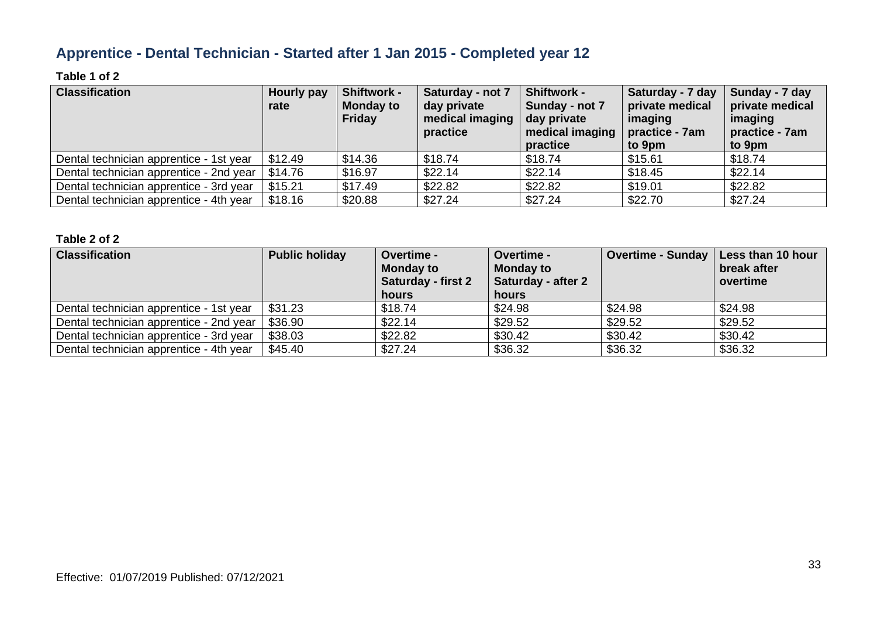# **Apprentice - Dental Technician - Started after 1 Jan 2015 - Completed year 12**

### **Table 1 of 2**

| <b>Classification</b>                   | <b>Hourly pay</b><br>rate | <b>Shiftwork -</b><br><b>Monday to</b><br>Friday | Saturday - not 7<br>day private<br>medical imaging<br>practice | <b>Shiftwork -</b><br>Sunday - not 7<br>day private<br>medical imaging $ $ practice - 7am<br>practice | Saturday - 7 day<br>private medical<br>imaging<br>to 9pm | Sunday - 7 day<br>private medical<br>imaging<br>practice - 7am<br>to 9pm |
|-----------------------------------------|---------------------------|--------------------------------------------------|----------------------------------------------------------------|-------------------------------------------------------------------------------------------------------|----------------------------------------------------------|--------------------------------------------------------------------------|
| Dental technician apprentice - 1st year | \$12.49                   | \$14.36                                          | \$18.74                                                        | \$18.74                                                                                               | \$15.61                                                  | \$18.74                                                                  |
| Dental technician apprentice - 2nd year | \$14.76                   | \$16.97                                          | \$22.14                                                        | \$22.14                                                                                               | \$18.45                                                  | \$22.14                                                                  |
| Dental technician apprentice - 3rd year | \$15.21                   | \$17.49                                          | \$22.82                                                        | \$22.82                                                                                               | \$19.01                                                  | \$22.82                                                                  |
| Dental technician apprentice - 4th year | \$18.16                   | \$20.88                                          | \$27.24                                                        | \$27.24                                                                                               | \$22.70                                                  | \$27.24                                                                  |

| <b>Classification</b>                   | <b>Public holiday</b> | <b>Overtime -</b><br><b>Monday to</b><br><b>Saturday - first 2</b><br>hours | Overtime -<br><b>Monday to</b><br>Saturday - after 2<br>hours | Overtime - Sunday | Less than 10 hour<br>break after<br>overtime |
|-----------------------------------------|-----------------------|-----------------------------------------------------------------------------|---------------------------------------------------------------|-------------------|----------------------------------------------|
| Dental technician apprentice - 1st year | \$31.23               | \$18.74                                                                     | \$24.98                                                       | \$24.98           | \$24.98                                      |
| Dental technician apprentice - 2nd year | \$36.90               | \$22.14                                                                     | \$29.52                                                       | \$29.52           | \$29.52                                      |
| Dental technician apprentice - 3rd year | \$38.03               | \$22.82                                                                     | \$30.42                                                       | \$30.42           | \$30.42                                      |
| Dental technician apprentice - 4th year | \$45.40               | \$27.24                                                                     | \$36.32                                                       | \$36.32           | \$36.32                                      |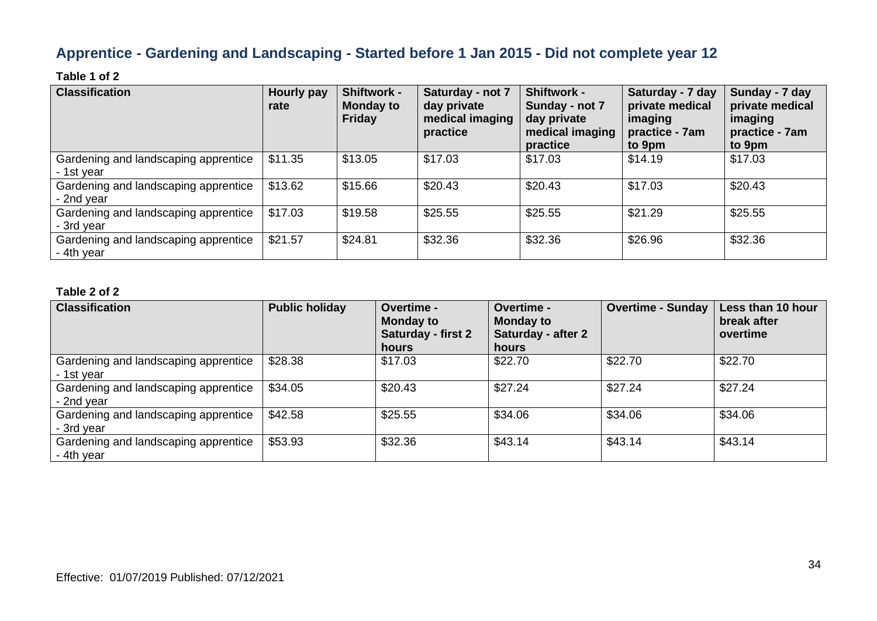# **Apprentice - Gardening and Landscaping - Started before 1 Jan 2015 - Did not complete year 12**

### **Table 1 of 2**

| <b>Classification</b>                              | Hourly pay<br>rate | Shiftwork -<br><b>Monday to</b><br><b>Friday</b> | Saturday - not 7<br>day private<br>medical imaging<br>practice | <b>Shiftwork -</b><br>Sunday - not 7<br>day private<br>medical imaging<br>practice | Saturday - 7 day<br>private medical<br>imaging<br>practice - 7am<br>to 9pm | Sunday - 7 day<br>private medical<br>imaging<br>practice - 7am<br>to 9pm |
|----------------------------------------------------|--------------------|--------------------------------------------------|----------------------------------------------------------------|------------------------------------------------------------------------------------|----------------------------------------------------------------------------|--------------------------------------------------------------------------|
| Gardening and landscaping apprentice<br>- 1st year | \$11.35            | \$13.05                                          | \$17.03                                                        | \$17.03                                                                            | \$14.19                                                                    | \$17.03                                                                  |
| Gardening and landscaping apprentice<br>- 2nd year | \$13.62            | \$15.66                                          | \$20.43                                                        | \$20.43                                                                            | \$17.03                                                                    | \$20.43                                                                  |
| Gardening and landscaping apprentice<br>- 3rd year | \$17.03            | \$19.58                                          | \$25.55                                                        | \$25.55                                                                            | \$21.29                                                                    | \$25.55                                                                  |
| Gardening and landscaping apprentice<br>- 4th year | \$21.57            | \$24.81                                          | \$32.36                                                        | \$32.36                                                                            | \$26.96                                                                    | \$32.36                                                                  |

| <b>Classification</b>                              | <b>Public holiday</b> | <b>Overtime -</b><br><b>Monday to</b><br><b>Saturday - first 2</b><br>hours | Overtime -<br><b>Monday to</b><br>Saturday - after 2<br>hours | <b>Overtime - Sunday</b> | Less than 10 hour<br>break after<br>overtime |
|----------------------------------------------------|-----------------------|-----------------------------------------------------------------------------|---------------------------------------------------------------|--------------------------|----------------------------------------------|
| Gardening and landscaping apprentice<br>- 1st year | \$28.38               | \$17.03                                                                     | \$22.70                                                       | \$22.70                  | \$22.70                                      |
| Gardening and landscaping apprentice<br>- 2nd year | \$34.05               | \$20.43                                                                     | \$27.24                                                       | \$27.24                  | \$27.24                                      |
| Gardening and landscaping apprentice<br>- 3rd year | \$42.58               | \$25.55                                                                     | \$34.06                                                       | \$34.06                  | \$34.06                                      |
| Gardening and landscaping apprentice<br>- 4th year | \$53.93               | \$32.36                                                                     | \$43.14                                                       | \$43.14                  | \$43.14                                      |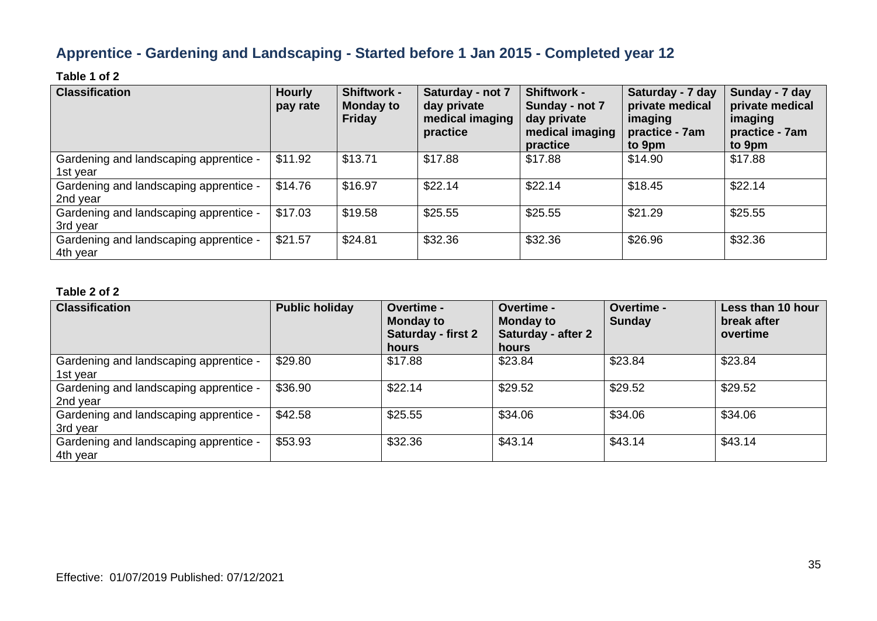# **Apprentice - Gardening and Landscaping - Started before 1 Jan 2015 - Completed year 12**

### **Table 1 of 2**

| <b>Classification</b>                              | <b>Hourly</b><br>pay rate | <b>Shiftwork -</b><br><b>Monday to</b><br><b>Friday</b> | Saturday - not 7<br>day private<br>medical imaging<br>practice | <b>Shiftwork -</b><br>Sunday - not 7<br>day private<br>medical imaging<br>practice | Saturday - 7 day<br>private medical<br>imaging<br>practice - 7am<br>to 9pm | Sunday - 7 day<br>private medical<br>imaging<br>practice - 7am<br>to 9pm |
|----------------------------------------------------|---------------------------|---------------------------------------------------------|----------------------------------------------------------------|------------------------------------------------------------------------------------|----------------------------------------------------------------------------|--------------------------------------------------------------------------|
| Gardening and landscaping apprentice -<br>1st year | \$11.92                   | \$13.71                                                 | \$17.88                                                        | \$17.88                                                                            | \$14.90                                                                    | \$17.88                                                                  |
| Gardening and landscaping apprentice -<br>2nd year | \$14.76                   | \$16.97                                                 | \$22.14                                                        | \$22.14                                                                            | \$18.45                                                                    | \$22.14                                                                  |
| Gardening and landscaping apprentice -<br>3rd year | \$17.03                   | \$19.58                                                 | \$25.55                                                        | \$25.55                                                                            | \$21.29                                                                    | \$25.55                                                                  |
| Gardening and landscaping apprentice -<br>4th year | \$21.57                   | \$24.81                                                 | \$32.36                                                        | \$32.36                                                                            | \$26.96                                                                    | \$32.36                                                                  |

| <b>Classification</b>                              | <b>Public holiday</b> | <b>Overtime -</b><br><b>Monday to</b><br>Saturday - first 2<br>hours | <b>Overtime -</b><br><b>Monday to</b><br><b>Saturday - after 2</b><br>hours | Overtime -<br><b>Sunday</b> | Less than 10 hour<br>break after<br>overtime |
|----------------------------------------------------|-----------------------|----------------------------------------------------------------------|-----------------------------------------------------------------------------|-----------------------------|----------------------------------------------|
| Gardening and landscaping apprentice -<br>1st year | \$29.80               | \$17.88                                                              | \$23.84                                                                     | \$23.84                     | \$23.84                                      |
| Gardening and landscaping apprentice -<br>2nd year | \$36.90               | \$22.14                                                              | \$29.52                                                                     | \$29.52                     | \$29.52                                      |
| Gardening and landscaping apprentice -<br>3rd year | \$42.58               | \$25.55                                                              | \$34.06                                                                     | \$34.06                     | \$34.06                                      |
| Gardening and landscaping apprentice -<br>4th year | \$53.93               | \$32.36                                                              | \$43.14                                                                     | \$43.14                     | \$43.14                                      |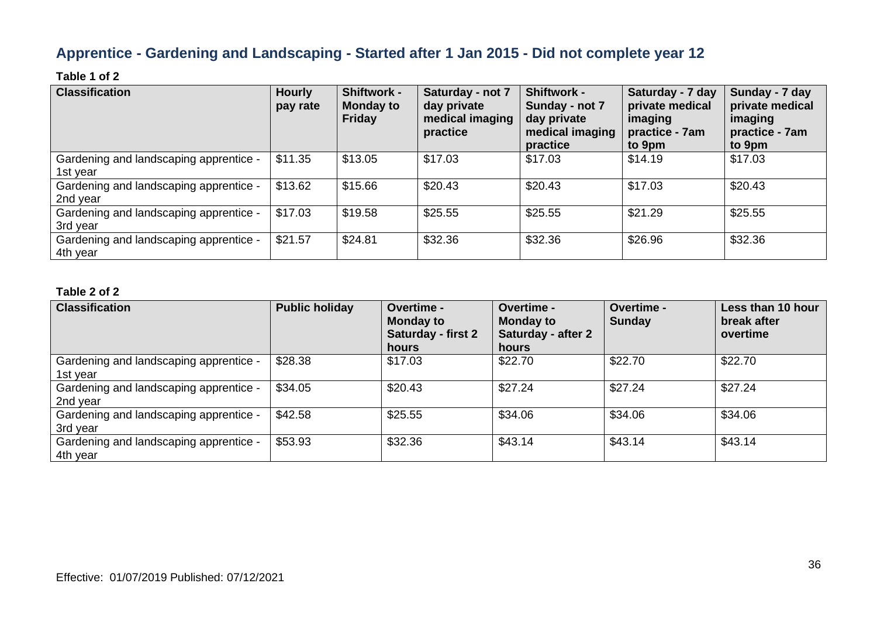# **Apprentice - Gardening and Landscaping - Started after 1 Jan 2015 - Did not complete year 12**

### **Table 1 of 2**

| <b>Classification</b>                              | <b>Hourly</b><br>pay rate | <b>Shiftwork -</b><br><b>Monday to</b><br><b>Friday</b> | Saturday - not 7<br>day private<br>medical imaging<br>practice | <b>Shiftwork -</b><br>Sunday - not 7<br>day private<br>medical imaging<br>practice | Saturday - 7 day<br>private medical<br>imaging<br>practice - 7am<br>to 9pm | Sunday - 7 day<br>private medical<br>imaging<br>practice - 7am<br>to 9pm |
|----------------------------------------------------|---------------------------|---------------------------------------------------------|----------------------------------------------------------------|------------------------------------------------------------------------------------|----------------------------------------------------------------------------|--------------------------------------------------------------------------|
| Gardening and landscaping apprentice -<br>1st year | \$11.35                   | \$13.05                                                 | \$17.03                                                        | \$17.03                                                                            | \$14.19                                                                    | \$17.03                                                                  |
| Gardening and landscaping apprentice -<br>2nd year | \$13.62                   | \$15.66                                                 | \$20.43                                                        | \$20.43                                                                            | \$17.03                                                                    | \$20.43                                                                  |
| Gardening and landscaping apprentice -<br>3rd year | \$17.03                   | \$19.58                                                 | \$25.55                                                        | \$25.55                                                                            | \$21.29                                                                    | \$25.55                                                                  |
| Gardening and landscaping apprentice -<br>4th year | \$21.57                   | \$24.81                                                 | \$32.36                                                        | \$32.36                                                                            | \$26.96                                                                    | \$32.36                                                                  |

| <b>Classification</b>                              | <b>Public holiday</b> | <b>Overtime -</b><br><b>Monday to</b><br>Saturday - first 2<br>hours | <b>Overtime -</b><br><b>Monday to</b><br><b>Saturday - after 2</b><br>hours | <b>Overtime -</b><br><b>Sunday</b> | Less than 10 hour<br>break after<br>overtime |
|----------------------------------------------------|-----------------------|----------------------------------------------------------------------|-----------------------------------------------------------------------------|------------------------------------|----------------------------------------------|
| Gardening and landscaping apprentice -<br>1st year | \$28.38               | \$17.03                                                              | \$22.70                                                                     | \$22.70                            | \$22.70                                      |
| Gardening and landscaping apprentice -<br>2nd year | \$34.05               | \$20.43                                                              | \$27.24                                                                     | \$27.24                            | \$27.24                                      |
| Gardening and landscaping apprentice -<br>3rd year | \$42.58               | \$25.55                                                              | \$34.06                                                                     | \$34.06                            | \$34.06                                      |
| Gardening and landscaping apprentice -<br>4th year | \$53.93               | \$32.36                                                              | \$43.14                                                                     | \$43.14                            | \$43.14                                      |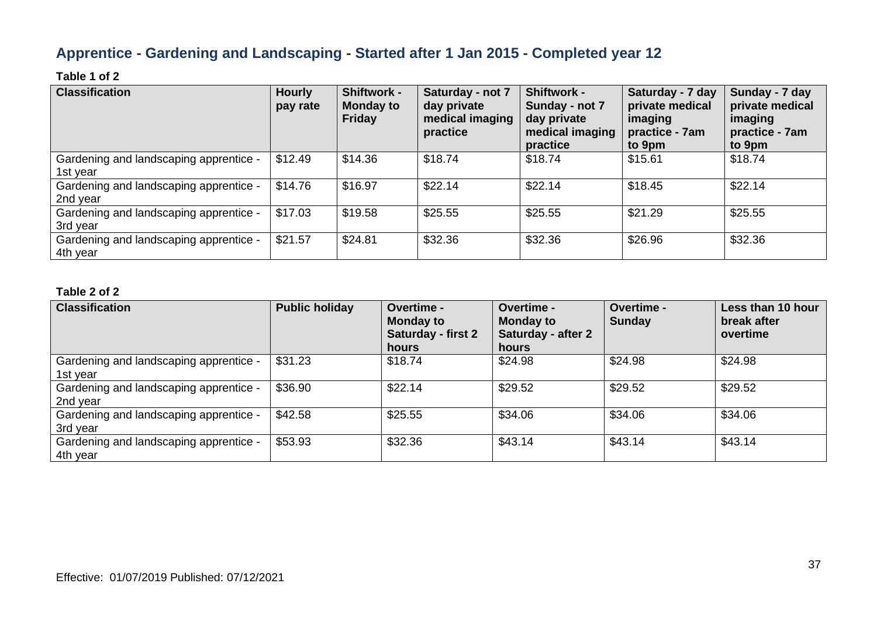# **Apprentice - Gardening and Landscaping - Started after 1 Jan 2015 - Completed year 12**

### **Table 1 of 2**

| <b>Classification</b>                              | <b>Hourly</b><br>pay rate | <b>Shiftwork -</b><br><b>Monday to</b><br><b>Friday</b> | Saturday - not 7<br>day private<br>medical imaging<br>practice | <b>Shiftwork -</b><br>Sunday - not 7<br>day private<br>medical imaging<br>practice | Saturday - 7 day<br>private medical<br>imaging<br>practice - 7am<br>to 9pm | Sunday - 7 day<br>private medical<br>imaging<br>practice - 7am<br>to 9pm |
|----------------------------------------------------|---------------------------|---------------------------------------------------------|----------------------------------------------------------------|------------------------------------------------------------------------------------|----------------------------------------------------------------------------|--------------------------------------------------------------------------|
| Gardening and landscaping apprentice -<br>1st year | \$12.49                   | \$14.36                                                 | \$18.74                                                        | \$18.74                                                                            | \$15.61                                                                    | \$18.74                                                                  |
| Gardening and landscaping apprentice -<br>2nd year | \$14.76                   | \$16.97                                                 | \$22.14                                                        | \$22.14                                                                            | \$18.45                                                                    | \$22.14                                                                  |
| Gardening and landscaping apprentice -<br>3rd year | \$17.03                   | \$19.58                                                 | \$25.55                                                        | \$25.55                                                                            | \$21.29                                                                    | \$25.55                                                                  |
| Gardening and landscaping apprentice -<br>4th year | \$21.57                   | \$24.81                                                 | \$32.36                                                        | \$32.36                                                                            | \$26.96                                                                    | \$32.36                                                                  |

| <b>Classification</b>                              | <b>Public holiday</b> | <b>Overtime -</b><br><b>Monday to</b><br>Saturday - first 2<br>hours | <b>Overtime -</b><br><b>Monday to</b><br><b>Saturday - after 2</b><br>hours | Overtime -<br><b>Sunday</b> | Less than 10 hour<br>break after<br>overtime |
|----------------------------------------------------|-----------------------|----------------------------------------------------------------------|-----------------------------------------------------------------------------|-----------------------------|----------------------------------------------|
| Gardening and landscaping apprentice -<br>1st year | \$31.23               | \$18.74                                                              | \$24.98                                                                     | \$24.98                     | \$24.98                                      |
| Gardening and landscaping apprentice -<br>2nd year | \$36.90               | \$22.14                                                              | \$29.52                                                                     | \$29.52                     | \$29.52                                      |
| Gardening and landscaping apprentice -<br>3rd year | \$42.58               | \$25.55                                                              | \$34.06                                                                     | \$34.06                     | \$34.06                                      |
| Gardening and landscaping apprentice -<br>4th year | \$53.93               | \$32.36                                                              | \$43.14                                                                     | \$43.14                     | \$43.14                                      |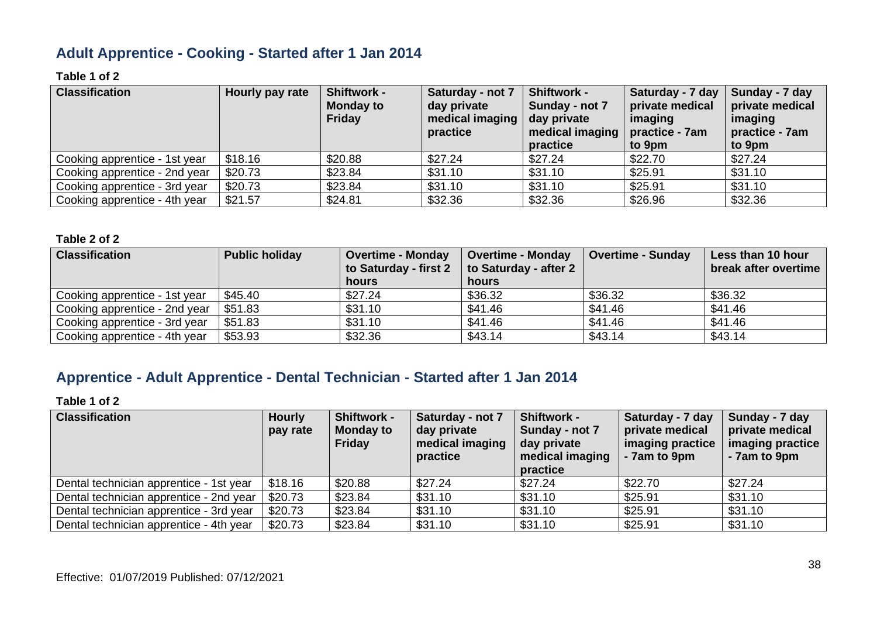# **Adult Apprentice - Cooking - Started after 1 Jan 2014**

# **Table 1 of 2**

| <b>Classification</b>         | Hourly pay rate | <b>Shiftwork -</b><br><b>Monday to</b><br><b>Friday</b> | Saturday - not 7<br>day private<br>medical imaging<br>practice | <b>Shiftwork -</b><br>Sunday - not 7<br>day private<br>medical imaging<br>practice | Saturday - 7 day<br>private medical<br>imaging<br>practice - 7am<br>to 9pm | Sunday - 7 day<br>private medical<br>imaging<br>practice - 7am<br>to 9pm |
|-------------------------------|-----------------|---------------------------------------------------------|----------------------------------------------------------------|------------------------------------------------------------------------------------|----------------------------------------------------------------------------|--------------------------------------------------------------------------|
| Cooking apprentice - 1st year | \$18.16         | \$20.88                                                 | \$27.24                                                        | \$27.24                                                                            | \$22.70                                                                    | \$27.24                                                                  |
| Cooking apprentice - 2nd year | \$20.73         | \$23.84                                                 | \$31.10                                                        | \$31.10                                                                            | \$25.91                                                                    | \$31.10                                                                  |
| Cooking apprentice - 3rd year | \$20.73         | \$23.84                                                 | \$31.10                                                        | \$31.10                                                                            | \$25.91                                                                    | \$31.10                                                                  |
| Cooking apprentice - 4th year | \$21.57         | \$24.81                                                 | \$32.36                                                        | \$32.36                                                                            | \$26.96                                                                    | \$32.36                                                                  |

#### **Table 2 of 2**

| <b>Classification</b>         | <b>Public holiday</b> | <b>Overtime - Monday</b><br>to Saturday - first 2 | <b>Overtime - Monday</b><br>to Saturday - after 2 | <b>Overtime - Sunday</b> | Less than 10 hour<br>break after overtime |
|-------------------------------|-----------------------|---------------------------------------------------|---------------------------------------------------|--------------------------|-------------------------------------------|
|                               |                       | hours                                             | hours                                             |                          |                                           |
| Cooking apprentice - 1st year | \$45.40               | \$27.24                                           | \$36.32                                           | \$36.32                  | \$36.32                                   |
| Cooking apprentice - 2nd year | \$51.83               | \$31.10                                           | \$41.46                                           | \$41.46                  | \$41.46                                   |
| Cooking apprentice - 3rd year | \$51.83               | \$31.10                                           | \$41.46                                           | \$41.46                  | \$41.46                                   |
| Cooking apprentice - 4th year | \$53.93               | \$32.36                                           | \$43.14                                           | \$43.14                  | \$43.14                                   |

# **Apprentice - Adult Apprentice - Dental Technician - Started after 1 Jan 2014**

| <b>Classification</b>                   | <b>Hourly</b><br>pay rate | <b>Shiftwork -</b><br><b>Monday to</b><br><b>Friday</b> | Saturday - not 7<br>day private<br>medical imaging<br>practice | <b>Shiftwork -</b><br>Sunday - not 7<br>day private<br>medical imaging<br>practice | Saturday - 7 day<br>private medical<br>imaging practice<br>- 7am to 9pm | Sunday - 7 day<br>private medical<br>imaging practice<br>- 7am to 9pm |
|-----------------------------------------|---------------------------|---------------------------------------------------------|----------------------------------------------------------------|------------------------------------------------------------------------------------|-------------------------------------------------------------------------|-----------------------------------------------------------------------|
| Dental technician apprentice - 1st year | \$18.16                   | \$20.88                                                 | \$27.24                                                        | \$27.24                                                                            | \$22.70                                                                 | \$27.24                                                               |
| Dental technician apprentice - 2nd year | \$20.73                   | \$23.84                                                 | \$31.10                                                        | \$31.10                                                                            | \$25.91                                                                 | \$31.10                                                               |
| Dental technician apprentice - 3rd year | \$20.73                   | \$23.84                                                 | \$31.10                                                        | \$31.10                                                                            | \$25.91                                                                 | \$31.10                                                               |
| Dental technician apprentice - 4th year | \$20.73                   | \$23.84                                                 | \$31.10                                                        | \$31.10                                                                            | \$25.91                                                                 | \$31.10                                                               |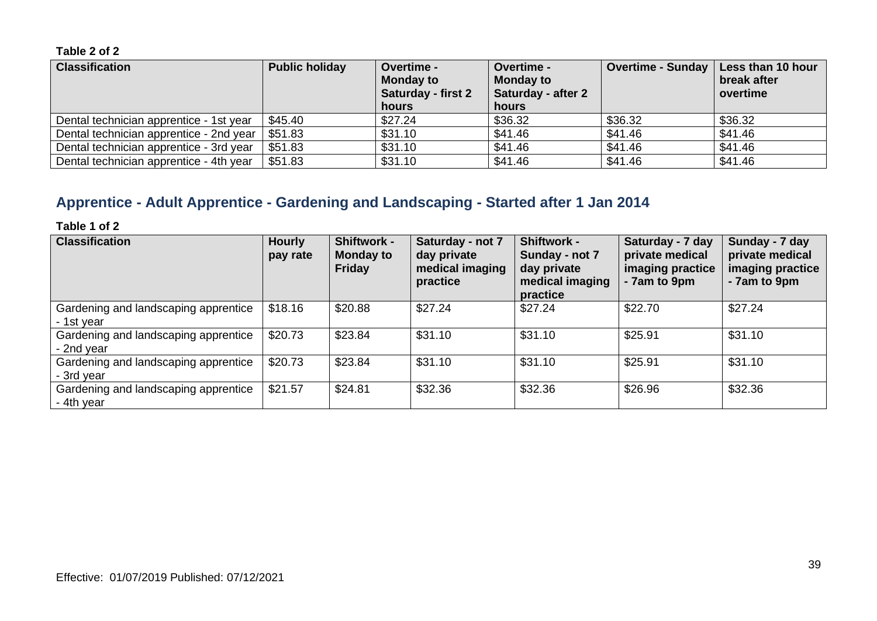| <b>Classification</b>                   | <b>Public holiday</b> | <b>Overtime -</b><br><b>Monday to</b><br><b>Saturday - first 2</b><br>hours | Overtime -<br><b>Monday to</b><br>Saturday - after 2<br>hours | Overtime - Sunday   Less than 10 hour | break after<br>overtime |
|-----------------------------------------|-----------------------|-----------------------------------------------------------------------------|---------------------------------------------------------------|---------------------------------------|-------------------------|
| Dental technician apprentice - 1st year | \$45.40               | \$27.24                                                                     | \$36.32                                                       | \$36.32                               | \$36.32                 |
| Dental technician apprentice - 2nd year | \$51.83               | \$31.10                                                                     | \$41.46                                                       | \$41.46                               | \$41.46                 |
| Dental technician apprentice - 3rd year | \$51.83               | \$31.10                                                                     | \$41.46                                                       | \$41.46                               | \$41.46                 |
| Dental technician apprentice - 4th year | \$51.83               | \$31.10                                                                     | \$41.46                                                       | \$41.46                               | \$41.46                 |

# **Apprentice - Adult Apprentice - Gardening and Landscaping - Started after 1 Jan 2014**

| <b>Classification</b>                              | <b>Hourly</b><br>pay rate | Shiftwork -<br><b>Monday to</b><br><b>Friday</b> | Saturday - not 7<br>day private<br>medical imaging<br>practice | <b>Shiftwork -</b><br>Sunday - not 7<br>day private<br>medical imaging<br>practice | Saturday - 7 day<br>private medical<br>imaging practice<br>- 7am to 9pm | Sunday - 7 day<br>private medical<br>imaging practice<br>- 7am to 9pm |
|----------------------------------------------------|---------------------------|--------------------------------------------------|----------------------------------------------------------------|------------------------------------------------------------------------------------|-------------------------------------------------------------------------|-----------------------------------------------------------------------|
| Gardening and landscaping apprentice<br>- 1st year | \$18.16                   | \$20.88                                          | \$27.24                                                        | \$27.24                                                                            | \$22.70                                                                 | \$27.24                                                               |
| Gardening and landscaping apprentice<br>- 2nd year | \$20.73                   | \$23.84                                          | \$31.10                                                        | \$31.10                                                                            | \$25.91                                                                 | \$31.10                                                               |
| Gardening and landscaping apprentice<br>- 3rd year | \$20.73                   | \$23.84                                          | \$31.10                                                        | \$31.10                                                                            | \$25.91                                                                 | \$31.10                                                               |
| Gardening and landscaping apprentice<br>- 4th year | \$21.57                   | \$24.81                                          | \$32.36                                                        | \$32.36                                                                            | \$26.96                                                                 | \$32.36                                                               |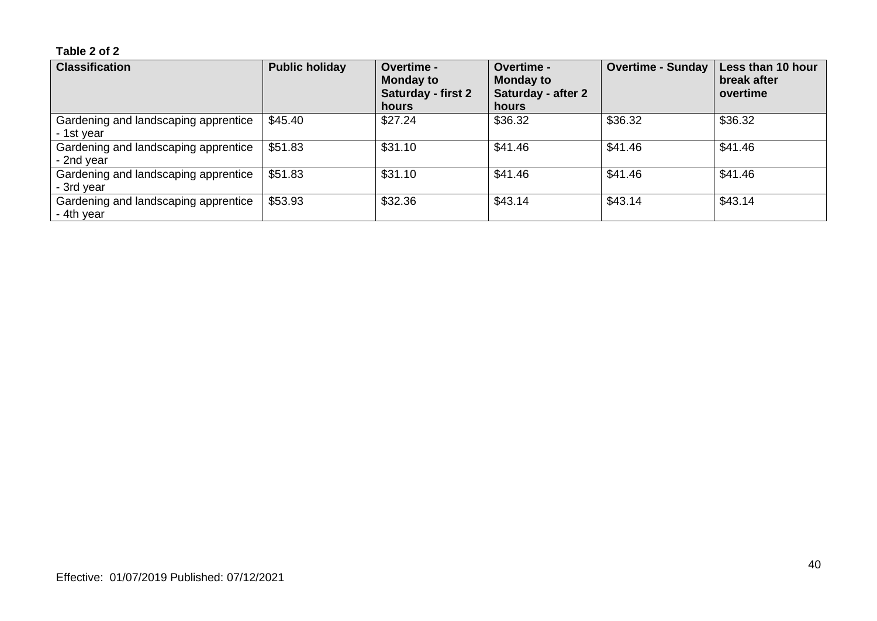| <b>Classification</b>                              | <b>Public holiday</b> | <b>Overtime -</b><br><b>Monday to</b><br><b>Saturday - first 2</b><br>hours | Overtime -<br><b>Monday to</b><br>Saturday - after 2<br>hours | <b>Overtime - Sunday</b> | Less than 10 hour<br>break after<br>overtime |
|----------------------------------------------------|-----------------------|-----------------------------------------------------------------------------|---------------------------------------------------------------|--------------------------|----------------------------------------------|
| Gardening and landscaping apprentice<br>- 1st year | \$45.40               | \$27.24                                                                     | \$36.32                                                       | \$36.32                  | \$36.32                                      |
| Gardening and landscaping apprentice<br>- 2nd year | \$51.83               | \$31.10                                                                     | \$41.46                                                       | \$41.46                  | \$41.46                                      |
| Gardening and landscaping apprentice<br>- 3rd year | \$51.83               | \$31.10                                                                     | \$41.46                                                       | \$41.46                  | \$41.46                                      |
| Gardening and landscaping apprentice<br>- 4th year | \$53.93               | \$32.36                                                                     | \$43.14                                                       | \$43.14                  | \$43.14                                      |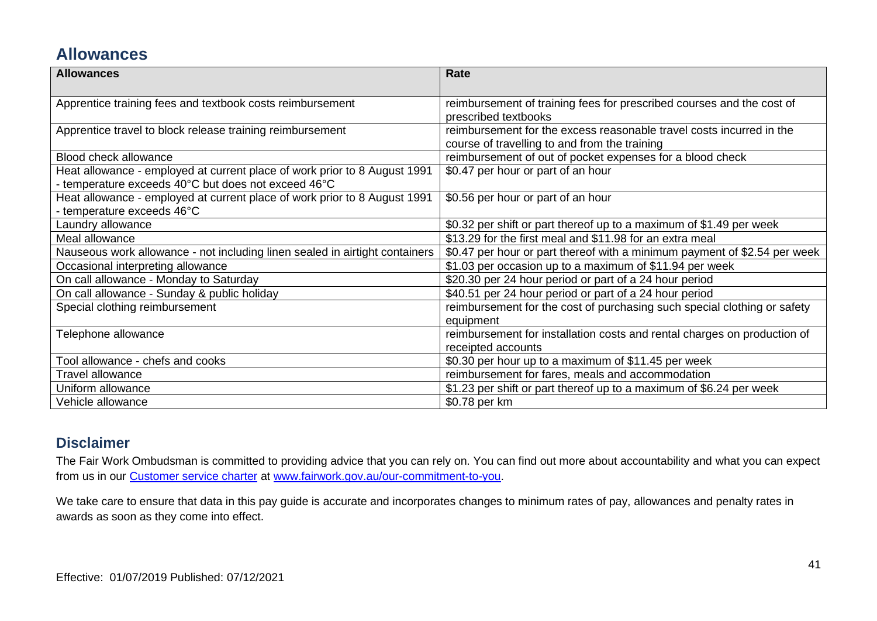# **Allowances**

| <b>Allowances</b>                                                                                                                | Rate                                                                                                                  |
|----------------------------------------------------------------------------------------------------------------------------------|-----------------------------------------------------------------------------------------------------------------------|
| Apprentice training fees and textbook costs reimbursement                                                                        | reimbursement of training fees for prescribed courses and the cost of<br>prescribed textbooks                         |
| Apprentice travel to block release training reimbursement                                                                        | reimbursement for the excess reasonable travel costs incurred in the<br>course of travelling to and from the training |
| <b>Blood check allowance</b>                                                                                                     | reimbursement of out of pocket expenses for a blood check                                                             |
| Heat allowance - employed at current place of work prior to 8 August 1991<br>- temperature exceeds 40°C but does not exceed 46°C | \$0.47 per hour or part of an hour                                                                                    |
| Heat allowance - employed at current place of work prior to 8 August 1991<br>- temperature exceeds 46°C                          | \$0.56 per hour or part of an hour                                                                                    |
| Laundry allowance                                                                                                                | \$0.32 per shift or part thereof up to a maximum of \$1.49 per week                                                   |
| Meal allowance                                                                                                                   | \$13.29 for the first meal and \$11.98 for an extra meal                                                              |
| Nauseous work allowance - not including linen sealed in airtight containers                                                      | \$0.47 per hour or part thereof with a minimum payment of \$2.54 per week                                             |
| Occasional interpreting allowance                                                                                                | \$1.03 per occasion up to a maximum of \$11.94 per week                                                               |
| On call allowance - Monday to Saturday                                                                                           | \$20.30 per 24 hour period or part of a 24 hour period                                                                |
| On call allowance - Sunday & public holiday                                                                                      | \$40.51 per 24 hour period or part of a 24 hour period                                                                |
| Special clothing reimbursement                                                                                                   | reimbursement for the cost of purchasing such special clothing or safety<br>equipment                                 |
| Telephone allowance                                                                                                              | reimbursement for installation costs and rental charges on production of<br>receipted accounts                        |
| Tool allowance - chefs and cooks                                                                                                 | \$0.30 per hour up to a maximum of \$11.45 per week                                                                   |
| <b>Travel allowance</b>                                                                                                          | reimbursement for fares, meals and accommodation                                                                      |
| Uniform allowance                                                                                                                | \$1.23 per shift or part thereof up to a maximum of \$6.24 per week                                                   |
| Vehicle allowance                                                                                                                | \$0.78 per km                                                                                                         |

# **Disclaimer**

The Fair Work Ombudsman is committed to providing advice that you can rely on. You can find out more about accountability and what you can expect from us in our [Customer service charter](https://www.fairwork.gov.au/about-us/our-role-and-purpose/our-priorities/our-commitment-to-you#customer-service-charter) at [www.fairwork.gov.au/our-commitment-to-you.](http://www.fairwork.gov.au/our-commitment-to-you)

We take care to ensure that data in this pay guide is accurate and incorporates changes to minimum rates of pay, allowances and penalty rates in awards as soon as they come into effect.